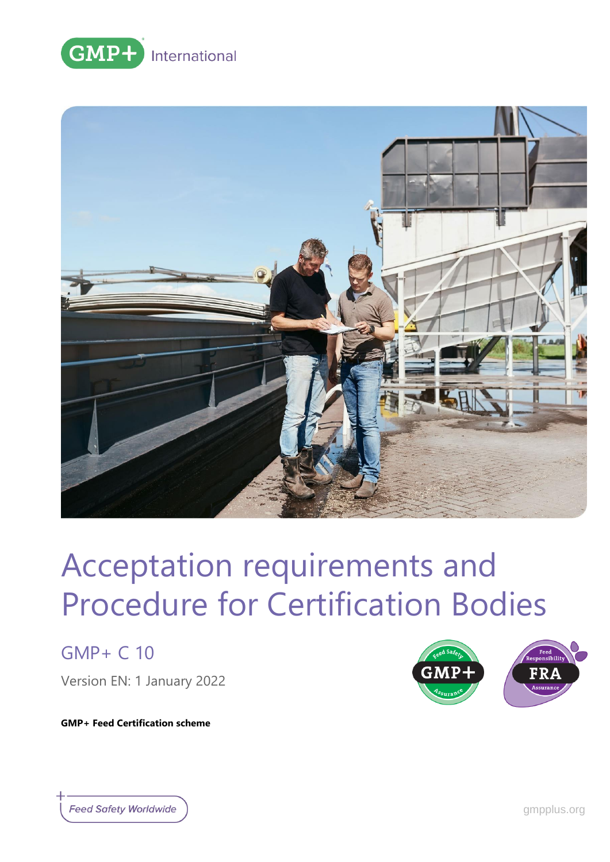



GMP+ C 10

Version EN: 1 January 2022

FRA

**GMP+ Feed Certification scheme**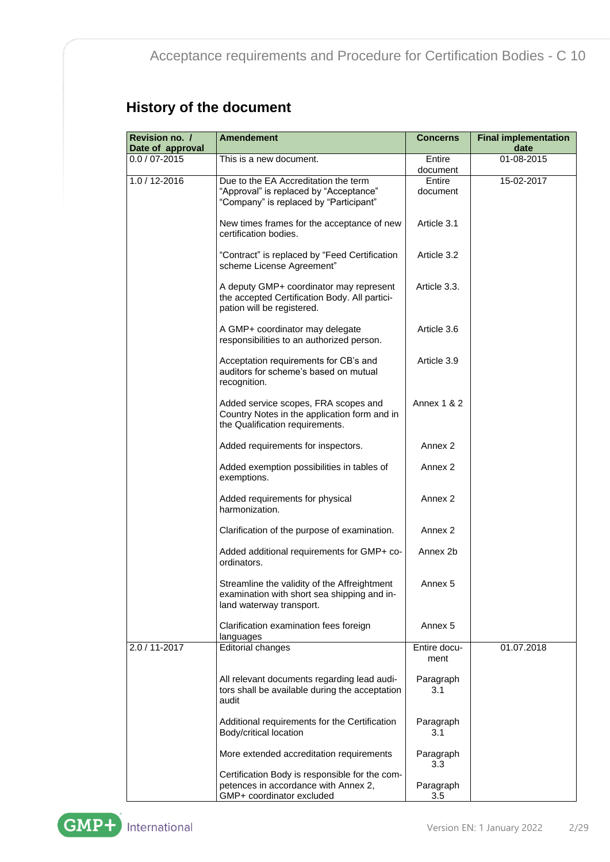### **History of the document**

| Revision no. /<br>Date of approval | <b>Amendement</b>                                                                                                        | <b>Concerns</b>      | <b>Final implementation</b><br>date |
|------------------------------------|--------------------------------------------------------------------------------------------------------------------------|----------------------|-------------------------------------|
| $0.0 / 07 - 2015$                  | This is a new document.                                                                                                  | Entire<br>document   | 01-08-2015                          |
| $1.0 / 12 - 2016$                  | Due to the EA Accreditation the term<br>"Approval" is replaced by "Acceptance"<br>"Company" is replaced by "Participant" | Entire<br>document   | 15-02-2017                          |
|                                    | New times frames for the acceptance of new<br>certification bodies.                                                      | Article 3.1          |                                     |
|                                    | "Contract" is replaced by "Feed Certification<br>scheme License Agreement"                                               | Article 3.2          |                                     |
|                                    | A deputy GMP+ coordinator may represent<br>the accepted Certification Body. All partici-<br>pation will be registered.   | Article 3.3.         |                                     |
|                                    | A GMP+ coordinator may delegate<br>responsibilities to an authorized person.                                             | Article 3.6          |                                     |
|                                    | Acceptation requirements for CB's and<br>auditors for scheme's based on mutual<br>recognition.                           | Article 3.9          |                                     |
|                                    | Added service scopes, FRA scopes and<br>Country Notes in the application form and in<br>the Qualification requirements.  | Annex $1 & 2$        |                                     |
|                                    | Added requirements for inspectors.                                                                                       | Annex 2              |                                     |
|                                    | Added exemption possibilities in tables of<br>exemptions.                                                                | Annex 2              |                                     |
|                                    | Added requirements for physical<br>harmonization.                                                                        | Annex 2              |                                     |
|                                    | Clarification of the purpose of examination.                                                                             | Annex 2              |                                     |
|                                    | Added additional requirements for GMP+ co-<br>ordinators.                                                                | Annex 2b             |                                     |
|                                    | Streamline the validity of the Affreightment<br>examination with short sea shipping and in-<br>land waterway transport.  | Annex 5              |                                     |
|                                    | Clarification examination fees foreign<br>languages                                                                      | Annex 5              |                                     |
| 2.0 / 11-2017                      | Editorial changes                                                                                                        | Entire docu-<br>ment | 01.07.2018                          |
|                                    | All relevant documents regarding lead audi-<br>tors shall be available during the acceptation<br>audit                   | Paragraph<br>3.1     |                                     |
|                                    | Additional requirements for the Certification<br>Body/critical location                                                  | Paragraph<br>3.1     |                                     |
|                                    | More extended accreditation requirements                                                                                 | Paragraph<br>3.3     |                                     |
|                                    | Certification Body is responsible for the com-<br>petences in accordance with Annex 2,<br>GMP+ coordinator excluded      | Paragraph<br>3.5     |                                     |

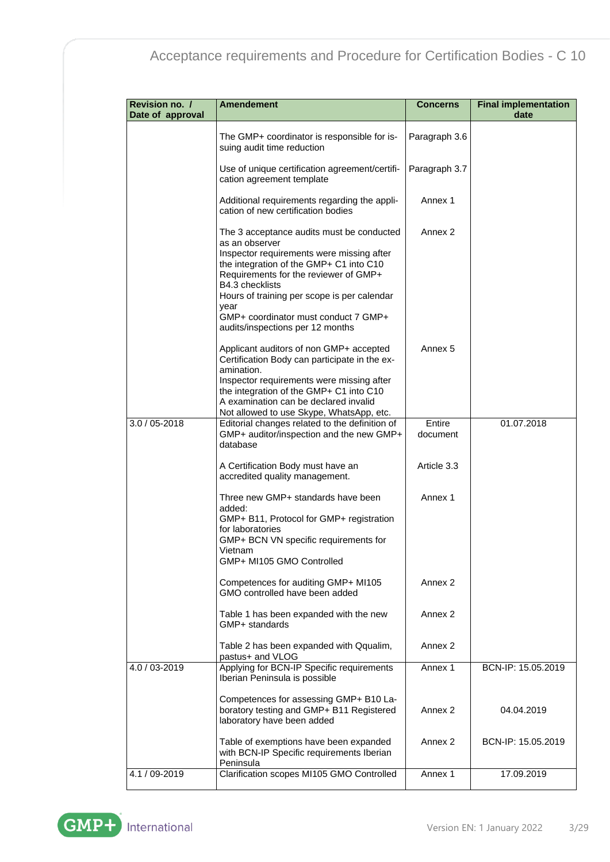| Revision no. /<br>Date of approval | <b>Amendement</b>                                                                                                                                                                                                                                                                                                                                  | <b>Concerns</b>    | <b>Final implementation</b><br>date |
|------------------------------------|----------------------------------------------------------------------------------------------------------------------------------------------------------------------------------------------------------------------------------------------------------------------------------------------------------------------------------------------------|--------------------|-------------------------------------|
|                                    | The GMP+ coordinator is responsible for is-<br>suing audit time reduction                                                                                                                                                                                                                                                                          | Paragraph 3.6      |                                     |
|                                    | Use of unique certification agreement/certifi-<br>cation agreement template                                                                                                                                                                                                                                                                        | Paragraph 3.7      |                                     |
|                                    | Additional requirements regarding the appli-<br>cation of new certification bodies                                                                                                                                                                                                                                                                 | Annex 1            |                                     |
|                                    | The 3 acceptance audits must be conducted<br>as an observer<br>Inspector requirements were missing after<br>the integration of the GMP+ C1 into C10<br>Requirements for the reviewer of GMP+<br>B4.3 checklists<br>Hours of training per scope is per calendar<br>year<br>GMP+ coordinator must conduct 7 GMP+<br>audits/inspections per 12 months | Annex 2            |                                     |
|                                    | Applicant auditors of non GMP+ accepted<br>Certification Body can participate in the ex-<br>amination.<br>Inspector requirements were missing after<br>the integration of the GMP+ C1 into C10<br>A examination can be declared invalid<br>Not allowed to use Skype, WhatsApp, etc.                                                                | Annex 5            |                                     |
| $3.0 / 05 - 2018$                  | Editorial changes related to the definition of<br>GMP+ auditor/inspection and the new GMP+<br>database                                                                                                                                                                                                                                             | Entire<br>document | 01.07.2018                          |
|                                    | A Certification Body must have an<br>accredited quality management.                                                                                                                                                                                                                                                                                | Article 3.3        |                                     |
|                                    | Three new GMP+ standards have been<br>added:<br>GMP+ B11, Protocol for GMP+ registration<br>for laboratories<br>GMP+ BCN VN specific requirements for<br>Vietnam<br>GMP+ MI105 GMO Controlled                                                                                                                                                      | Annex 1            |                                     |
|                                    | Competences for auditing GMP+ MI105<br>GMO controlled have been added                                                                                                                                                                                                                                                                              | Annex 2            |                                     |
|                                    | Table 1 has been expanded with the new<br>GMP+ standards                                                                                                                                                                                                                                                                                           | Annex 2            |                                     |
|                                    | Table 2 has been expanded with Qqualim,<br>pastus+ and VLOG                                                                                                                                                                                                                                                                                        | Annex 2            |                                     |
| 4.0 / 03-2019                      | Applying for BCN-IP Specific requirements<br>Iberian Peninsula is possible                                                                                                                                                                                                                                                                         | Annex 1            | BCN-IP: 15.05.2019                  |
|                                    | Competences for assessing GMP+ B10 La-<br>boratory testing and GMP+ B11 Registered<br>laboratory have been added                                                                                                                                                                                                                                   | Annex 2            | 04.04.2019                          |
|                                    | Table of exemptions have been expanded<br>with BCN-IP Specific requirements Iberian<br>Peninsula                                                                                                                                                                                                                                                   | Annex 2            | BCN-IP: 15.05.2019                  |
| 4.1 / 09-2019                      | Clarification scopes MI105 GMO Controlled                                                                                                                                                                                                                                                                                                          | Annex 1            | 17.09.2019                          |

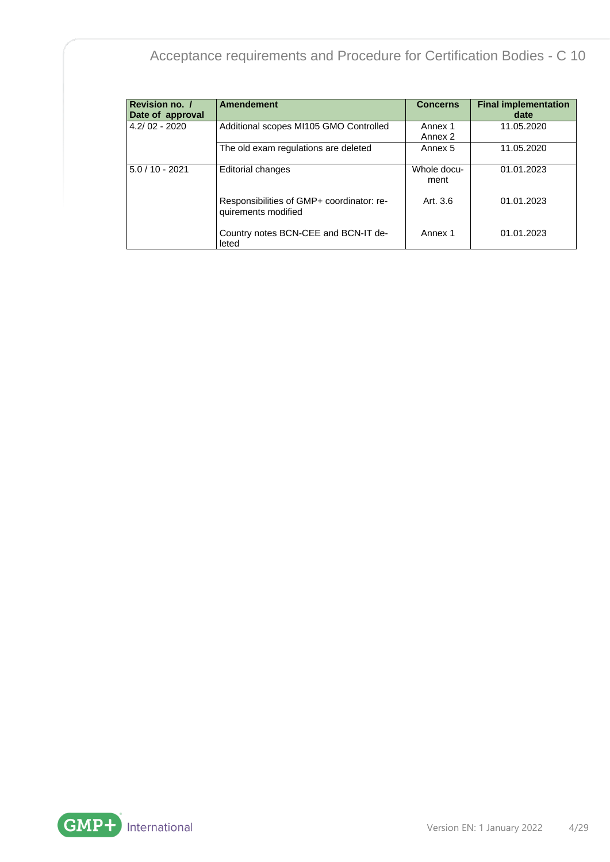| <b>Revision no. /</b><br>Date of approval | <b>Amendement</b>                                                | <b>Concerns</b>     | <b>Final implementation</b><br>date |
|-------------------------------------------|------------------------------------------------------------------|---------------------|-------------------------------------|
| $4.2/02 - 2020$                           | Additional scopes MI105 GMO Controlled                           | Annex 1<br>Annex 2  | 11.05.2020                          |
|                                           | The old exam regulations are deleted                             | Annex 5             | 11.05.2020                          |
| $5.0 / 10 - 2021$                         | <b>Editorial changes</b>                                         | Whole docu-<br>ment | 01.01.2023                          |
|                                           | Responsibilities of GMP+ coordinator: re-<br>quirements modified | Art. 3.6            | 01.01.2023                          |
|                                           | Country notes BCN-CEE and BCN-IT de-<br>leted                    | Annex 1             | 01.01.2023                          |

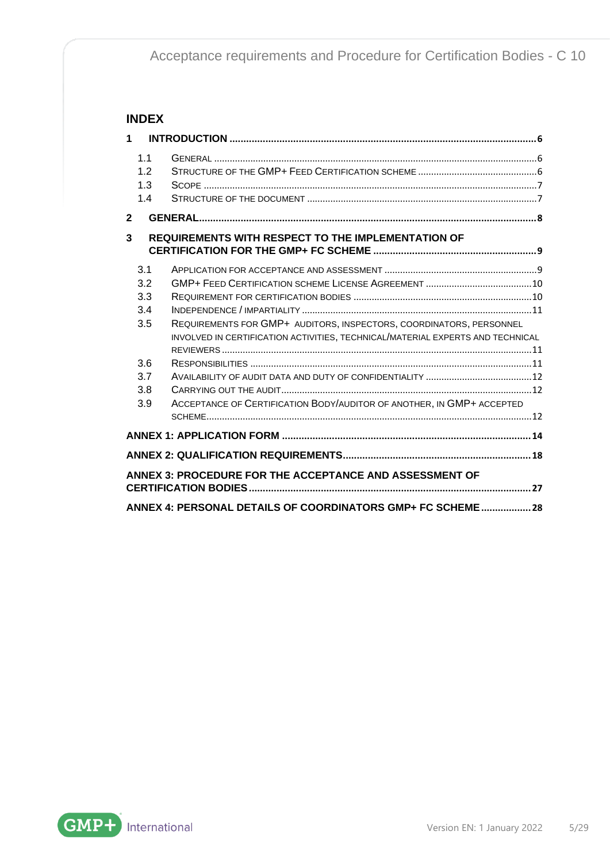#### **INDEX**

| $\mathbf 1$    |                                                             |                                                                                                                                                                                                                                |
|----------------|-------------------------------------------------------------|--------------------------------------------------------------------------------------------------------------------------------------------------------------------------------------------------------------------------------|
|                | 1.1<br>12<br>1.3<br>1.4                                     |                                                                                                                                                                                                                                |
| $\overline{2}$ |                                                             |                                                                                                                                                                                                                                |
| 3              |                                                             | <b>REQUIREMENTS WITH RESPECT TO THE IMPLEMENTATION OF</b>                                                                                                                                                                      |
|                | 3.1<br>3.2<br>3.3<br>3.4<br>3.5<br>3.6<br>3.7<br>3.8<br>3.9 | REQUIREMENTS FOR GMP+ AUDITORS, INSPECTORS, COORDINATORS, PERSONNEL<br>INVOLVED IN CERTIFICATION ACTIVITIES, TECHNICAL/MATERIAL EXPERTS AND TECHNICAL<br>ACCEPTANCE OF CERTIFICATION BODY/AUDITOR OF ANOTHER, IN GMP+ ACCEPTED |
|                |                                                             |                                                                                                                                                                                                                                |
|                |                                                             |                                                                                                                                                                                                                                |
|                |                                                             | ANNEX 3: PROCEDURE FOR THE ACCEPTANCE AND ASSESSMENT OF                                                                                                                                                                        |
|                |                                                             | ANNEX 4: PERSONAL DETAILS OF COORDINATORS GMP+ FC SCHEME 28                                                                                                                                                                    |

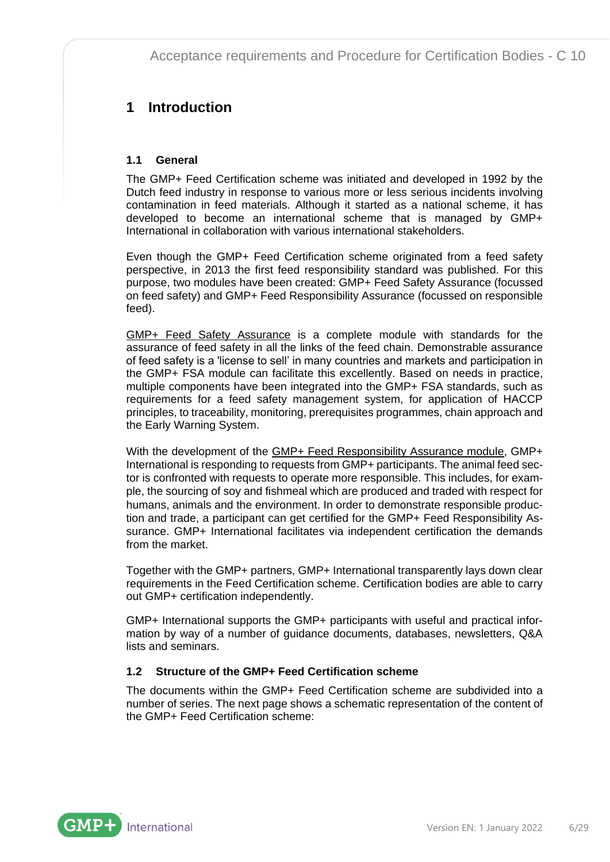### <span id="page-5-0"></span>**1 Introduction**

#### <span id="page-5-1"></span>**1.1 General**

The GMP+ Feed Certification scheme was initiated and developed in 1992 by the Dutch feed industry in response to various more or less serious incidents involving contamination in feed materials. Although it started as a national scheme, it has developed to become an international scheme that is managed by GMP+ International in collaboration with various international stakeholders.

Even though the GMP+ Feed Certification scheme originated from a feed safety perspective, in 2013 the first feed responsibility standard was published. For this purpose, two modules have been created: GMP+ Feed Safety Assurance (focussed on feed safety) and GMP+ Feed Responsibility Assurance (focussed on responsible feed).

GMP+ Feed Safety Assurance is a complete module with standards for the assurance of feed safety in all the links of the feed chain. Demonstrable assurance of feed safety is a 'license to sell' in many countries and markets and participation in the GMP+ FSA module can facilitate this excellently. Based on needs in practice, multiple components have been integrated into the GMP+ FSA standards, such as requirements for a feed safety management system, for application of HACCP principles, to traceability, monitoring, prerequisites programmes, chain approach and the Early Warning System.

With the development of the GMP+ Feed Responsibility Assurance module, GMP+ International is responding to requests from GMP+ participants. The animal feed sector is confronted with requests to operate more responsible. This includes, for example, the sourcing of soy and fishmeal which are produced and traded with respect for humans, animals and the environment. In order to demonstrate responsible production and trade, a participant can get certified for the GMP+ Feed Responsibility Assurance. GMP+ International facilitates via independent certification the demands from the market.

Together with the GMP+ partners, GMP+ International transparently lays down clear requirements in the Feed Certification scheme. Certification bodies are able to carry out GMP+ certification independently.

GMP+ International supports the GMP+ participants with useful and practical information by way of a number of guidance documents, databases, newsletters, Q&A lists and seminars.

#### <span id="page-5-2"></span>**1.2 Structure of the GMP+ Feed Certification scheme**

The documents within the GMP+ Feed Certification scheme are subdivided into a number of series. The next page shows a schematic representation of the content of the GMP+ Feed Certification scheme:

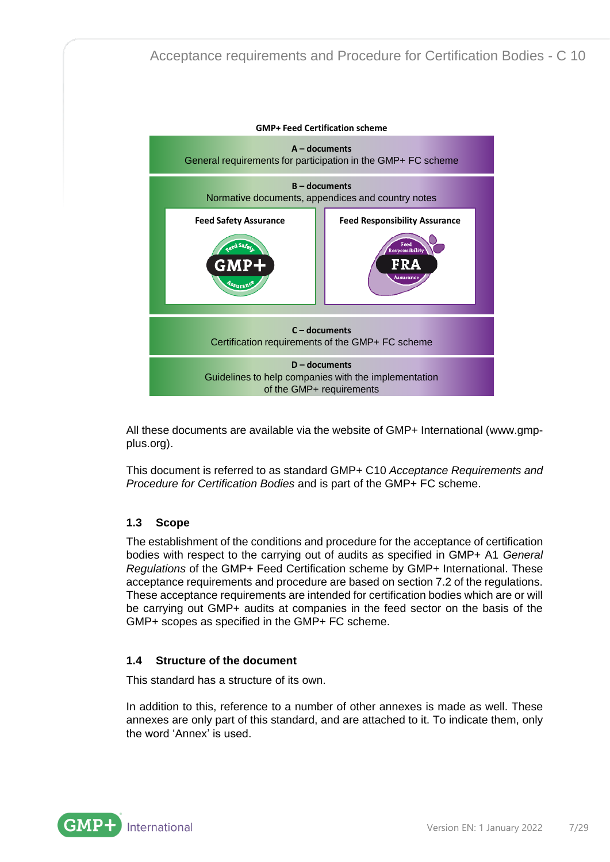

All these documents are available via the website of GMP+ International [\(www.gmp](http://www.gmpplus.org/)[plus.org\)](http://www.gmpplus.org/).

This document is referred to as standard GMP+ C10 *Acceptance Requirements and Procedure for Certification Bodies* and is part of the GMP+ FC scheme.

#### <span id="page-6-0"></span>**1.3 Scope**

The establishment of the conditions and procedure for the acceptance of certification bodies with respect to the carrying out of audits as specified in GMP+ A1 *General Regulations* of the GMP+ Feed Certification scheme by GMP+ International. These acceptance requirements and procedure are based on section 7.2 of the regulations. These acceptance requirements are intended for certification bodies which are or will be carrying out GMP+ audits at companies in the feed sector on the basis of the GMP+ scopes as specified in the GMP+ FC scheme.

#### <span id="page-6-1"></span>**1.4 Structure of the document**

This standard has a structure of its own.

In addition to this, reference to a number of other annexes is made as well. These annexes are only part of this standard, and are attached to it. To indicate them, only the word 'Annex' is used.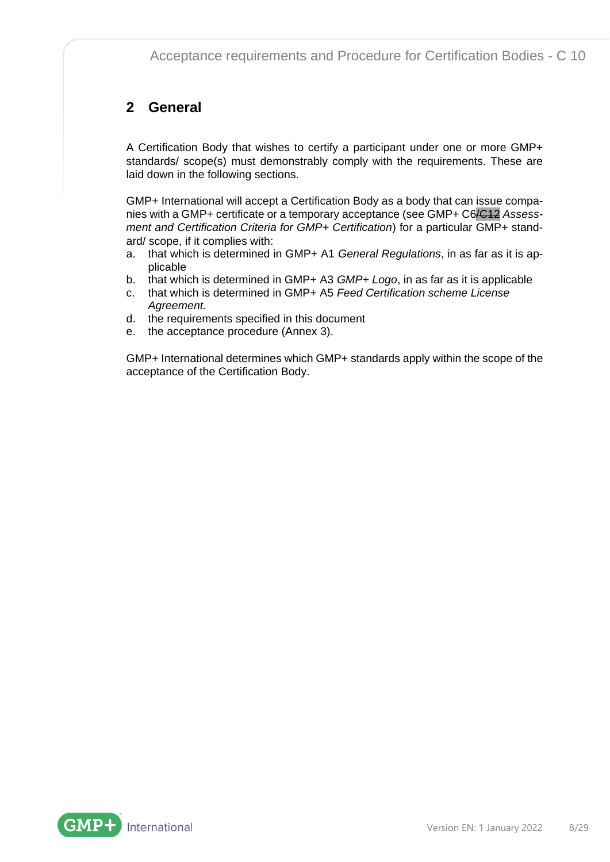### <span id="page-7-0"></span>**2 General**

A Certification Body that wishes to certify a participant under one or more GMP+ standards/ scope(s) must demonstrably comply with the requirements. These are laid down in the following sections.

GMP+ International will accept a Certification Body as a body that can issue companies with a GMP+ certificate or a temporary acceptance (see GMP+ C6/C12 *Assessment and Certification Criteria for GMP+ Certification*) for a particular GMP+ standard/ scope, if it complies with:

- a. that which is determined in GMP+ A1 *General Regulations*, in as far as it is applicable
- b. that which is determined in GMP+ A3 *GMP+ Logo*, in as far as it is applicable
- c. that which is determined in GMP+ A5 *Feed Certification scheme License Agreement.*
- d. the requirements specified in this document
- e. the acceptance procedure (Annex 3).

GMP+ International determines which GMP+ standards apply within the scope of the acceptance of the Certification Body.

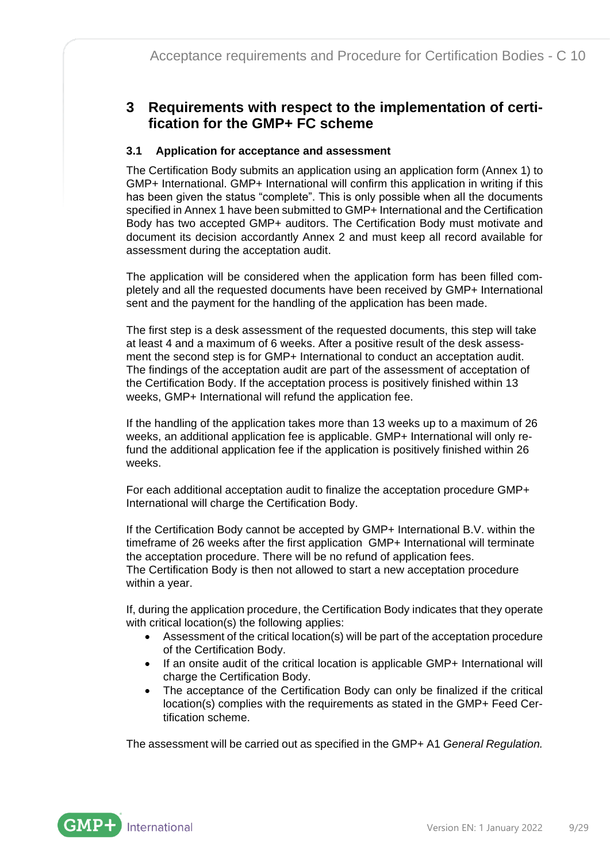### <span id="page-8-0"></span>**3 Requirements with respect to the implementation of certification for the GMP+ FC scheme**

#### <span id="page-8-1"></span>**3.1 Application for acceptance and assessment**

The Certification Body submits an application using an application form (Annex 1) to GMP+ International. GMP+ International will confirm this application in writing if this has been given the status "complete". This is only possible when all the documents specified in Annex 1 have been submitted to GMP+ International and the Certification Body has two accepted GMP+ auditors. The Certification Body must motivate and document its decision accordantly Annex 2 and must keep all record available for assessment during the acceptation audit.

The application will be considered when the application form has been filled completely and all the requested documents have been received by GMP+ International sent and the payment for the handling of the application has been made.

The first step is a desk assessment of the requested documents, this step will take at least 4 and a maximum of 6 weeks. After a positive result of the desk assessment the second step is for GMP+ International to conduct an acceptation audit. The findings of the acceptation audit are part of the assessment of acceptation of the Certification Body. If the acceptation process is positively finished within 13 weeks, GMP+ International will refund the application fee.

If the handling of the application takes more than 13 weeks up to a maximum of 26 weeks, an additional application fee is applicable. GMP+ International will only refund the additional application fee if the application is positively finished within 26 weeks.

For each additional acceptation audit to finalize the acceptation procedure GMP+ International will charge the Certification Body.

If the Certification Body cannot be accepted by GMP+ International B.V. within the timeframe of 26 weeks after the first application GMP+ International will terminate the acceptation procedure. There will be no refund of application fees. The Certification Body is then not allowed to start a new acceptation procedure within a year.

If, during the application procedure, the Certification Body indicates that they operate with critical location(s) the following applies:

- Assessment of the critical location(s) will be part of the acceptation procedure of the Certification Body.
- If an onsite audit of the critical location is applicable GMP+ International will charge the Certification Body.
- The acceptance of the Certification Body can only be finalized if the critical location(s) complies with the requirements as stated in the GMP+ Feed Certification scheme.

The assessment will be carried out as specified in the GMP+ A1 *General Regulation.*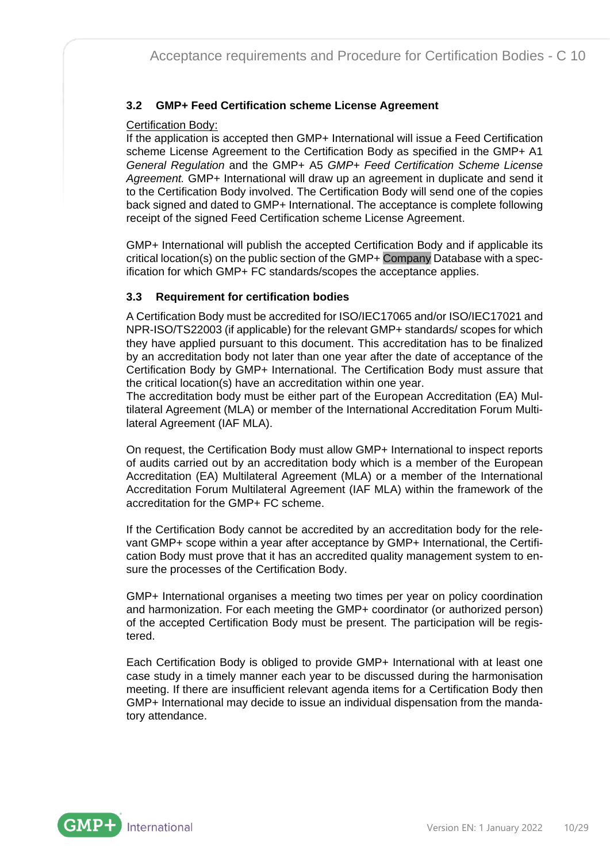#### <span id="page-9-0"></span>**3.2 GMP+ Feed Certification scheme License Agreement**

#### Certification Body:

If the application is accepted then GMP+ International will issue a Feed Certification scheme License Agreement to the Certification Body as specified in the GMP+ A1 *General Regulation* and the GMP+ A5 *[GMP+ Feed Certification Scheme License](https://www.gmpplus.org/bestand/26781/gmp-a5---en-20150210.pdf.ashx)  [Agreement.](https://www.gmpplus.org/bestand/26781/gmp-a5---en-20150210.pdf.ashx)* GMP+ International will draw up an agreement in duplicate and send it to the Certification Body involved. The Certification Body will send one of the copies back signed and dated to GMP+ International. The acceptance is complete following receipt of the signed Feed Certification scheme License Agreement.

GMP+ International will publish the accepted Certification Body and if applicable its critical location(s) on the public section of the GMP+ Company Database with a specification for which GMP+ FC standards/scopes the acceptance applies.

#### <span id="page-9-1"></span>**3.3 Requirement for certification bodies**

A Certification Body must be accredited for ISO/IEC17065 and/or ISO/IEC17021 and NPR-ISO/TS22003 (if applicable) for the relevant GMP+ standards/ scopes for which they have applied pursuant to this document. This accreditation has to be finalized by an accreditation body not later than one year after the date of acceptance of the Certification Body by GMP+ International. The Certification Body must assure that the critical location(s) have an accreditation within one year.

The accreditation body must be either part of the European Accreditation (EA) Multilateral Agreement (MLA) or member of the International Accreditation Forum Multilateral Agreement (IAF MLA).

On request, the Certification Body must allow GMP+ International to inspect reports of audits carried out by an accreditation body which is a member of the European Accreditation (EA) Multilateral Agreement (MLA) or a member of the International Accreditation Forum Multilateral Agreement (IAF MLA) within the framework of the accreditation for the GMP+ FC scheme.

If the Certification Body cannot be accredited by an accreditation body for the relevant GMP+ scope within a year after acceptance by GMP+ International, the Certification Body must prove that it has an accredited quality management system to ensure the processes of the Certification Body.

GMP+ International organises a meeting two times per year on policy coordination and harmonization. For each meeting the GMP+ coordinator (or authorized person) of the accepted Certification Body must be present. The participation will be registered.

Each Certification Body is obliged to provide GMP+ International with at least one case study in a timely manner each year to be discussed during the harmonisation meeting. If there are insufficient relevant agenda items for a Certification Body then GMP+ International may decide to issue an individual dispensation from the mandatory attendance.

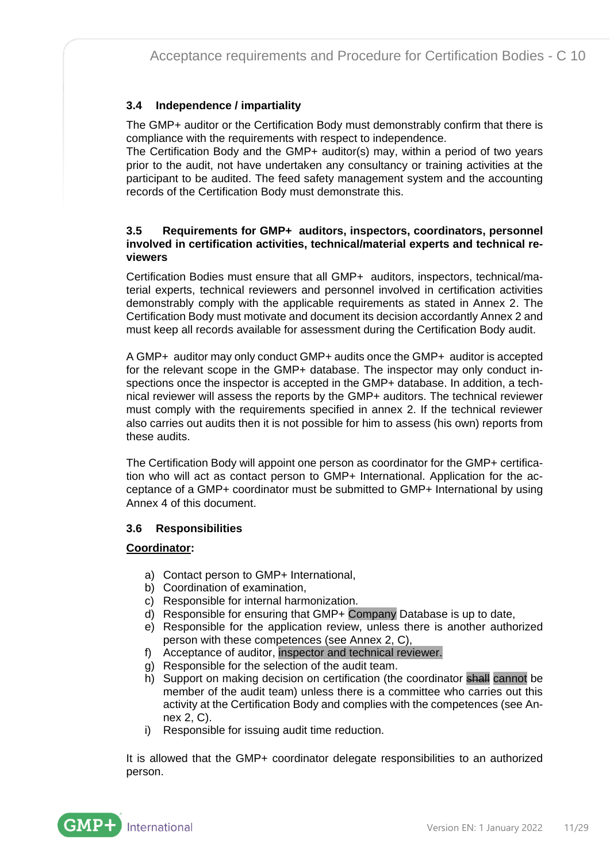#### <span id="page-10-0"></span>**3.4 Independence / impartiality**

The GMP+ auditor or the Certification Body must demonstrably confirm that there is compliance with the requirements with respect to independence.

The Certification Body and the GMP+ auditor(s) may, within a period of two years prior to the audit, not have undertaken any consultancy or training activities at the participant to be audited. The feed safety management system and the accounting records of the Certification Body must demonstrate this.

#### <span id="page-10-1"></span>**3.5 Requirements for GMP+ auditors, inspectors, coordinators, personnel involved in certification activities, technical/material experts and technical reviewers**

Certification Bodies must ensure that all GMP+ auditors, inspectors, technical/material experts, technical reviewers and personnel involved in certification activities demonstrably comply with the applicable requirements as stated in Annex 2. The Certification Body must motivate and document its decision accordantly Annex 2 and must keep all records available for assessment during the Certification Body audit.

A GMP+ auditor may only conduct GMP+ audits once the GMP+ auditor is accepted for the relevant scope in the GMP+ database. The inspector may only conduct inspections once the inspector is accepted in the GMP+ database. In addition, a technical reviewer will assess the reports by the GMP+ auditors. The technical reviewer must comply with the requirements specified in annex 2. If the technical reviewer also carries out audits then it is not possible for him to assess (his own) reports from these audits.

The Certification Body will appoint one person as coordinator for the GMP+ certification who will act as contact person to GMP+ International. Application for the acceptance of a GMP+ coordinator must be submitted to GMP+ International by using Annex 4 of this document.

#### <span id="page-10-2"></span>**3.6 Responsibilities**

#### **Coordinator:**

- a) Contact person to GMP+ International,
- b) Coordination of examination,
- c) Responsible for internal harmonization.
- d) Responsible for ensuring that GMP+ Company Database is up to date,
- e) Responsible for the application review, unless there is another authorized person with these competences (see Annex 2, C),
- f) Acceptance of auditor, inspector and technical reviewer.
- g) Responsible for the selection of the audit team.
- h) Support on making decision on certification (the coordinator shall cannot be member of the audit team) unless there is a committee who carries out this activity at the Certification Body and complies with the competences (see Annex 2, C).
- i) Responsible for issuing audit time reduction.

It is allowed that the GMP+ coordinator delegate responsibilities to an authorized person.

GMP. International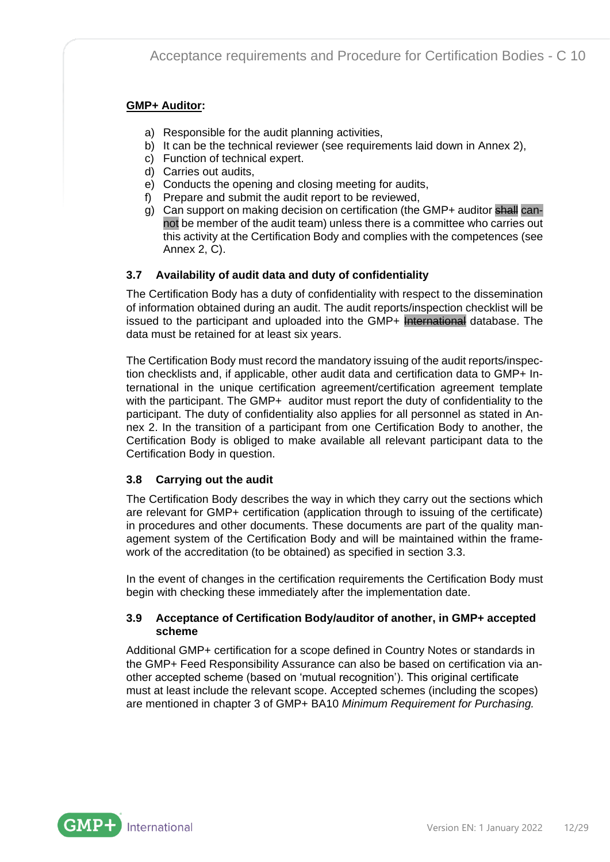#### **GMP+ Auditor:**

- a) Responsible for the audit planning activities,
- b) It can be the technical reviewer (see requirements laid down in Annex 2),
- c) Function of technical expert.
- d) Carries out audits,
- e) Conducts the opening and closing meeting for audits,
- f) Prepare and submit the audit report to be reviewed,
- g) Can support on making decision on certification (the GMP+ auditor shall cannot be member of the audit team) unless there is a committee who carries out this activity at the Certification Body and complies with the competences (see Annex 2, C).

#### <span id="page-11-0"></span>**3.7 Availability of audit data and duty of confidentiality**

The Certification Body has a duty of confidentiality with respect to the dissemination of information obtained during an audit. The audit reports/inspection checklist will be issued to the participant and uploaded into the GMP+ International database. The data must be retained for at least six years.

The Certification Body must record the mandatory issuing of the audit reports/inspection checklists and, if applicable, other audit data and certification data to GMP+ International in the unique certification agreement/certification agreement template with the participant. The GMP+ auditor must report the duty of confidentiality to the participant. The duty of confidentiality also applies for all personnel as stated in Annex 2. In the transition of a participant from one Certification Body to another, the Certification Body is obliged to make available all relevant participant data to the Certification Body in question.

#### <span id="page-11-1"></span>**3.8 Carrying out the audit**

The Certification Body describes the way in which they carry out the sections which are relevant for GMP+ certification (application through to issuing of the certificate) in procedures and other documents. These documents are part of the quality management system of the Certification Body and will be maintained within the framework of the accreditation (to be obtained) as specified in section 3.3.

In the event of changes in the certification requirements the Certification Body must begin with checking these immediately after the implementation date.

#### <span id="page-11-2"></span>**3.9 Acceptance of Certification Body/auditor of another, in GMP+ accepted scheme**

Additional GMP+ certification for a scope defined in Country Notes or standards in the GMP+ Feed Responsibility Assurance can also be based on certification via another accepted scheme (based on 'mutual recognition'). This original certificate must at least include the relevant scope. Accepted schemes (including the scopes) are mentioned in chapter 3 of GMP+ BA10 *Minimum Requirement for Purchasing.*

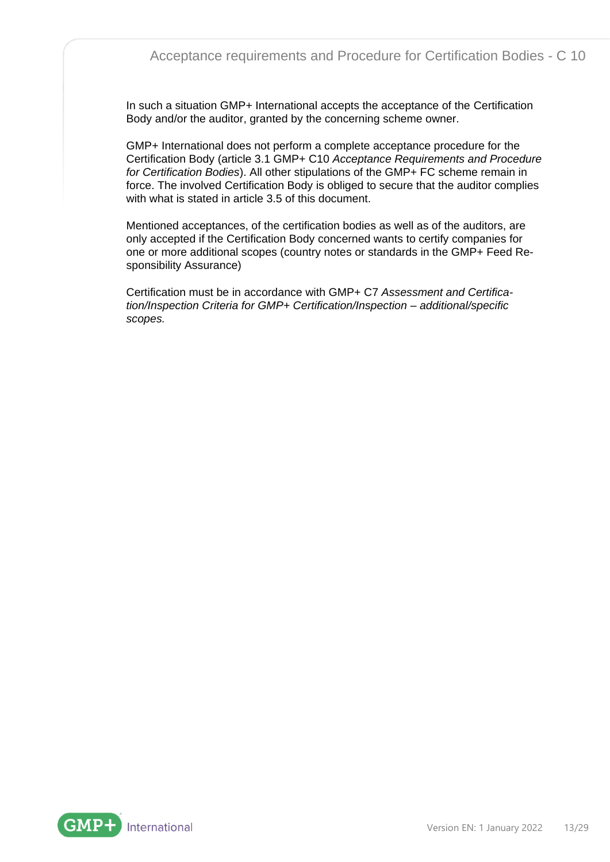In such a situation GMP+ International accepts the acceptance of the Certification Body and/or the auditor, granted by the concerning scheme owner.

GMP+ International does not perform a complete acceptance procedure for the Certification Body (article 3.1 GMP+ C10 *Acceptance Requirements and Procedure for Certification Bodies*). All other stipulations of the GMP+ FC scheme remain in force. The involved Certification Body is obliged to secure that the auditor complies with what is stated in article 3.5 of this document.

Mentioned acceptances, of the certification bodies as well as of the auditors, are only accepted if the Certification Body concerned wants to certify companies for one or more additional scopes (country notes or standards in the GMP+ Feed Responsibility Assurance)

Certification must be in accordance with GMP+ C7 *[Assessment and Certifica](file://///gmp-sbs01/algemeen/00%20Gepubliceerde%20documenten/00%20Gepubliceerd/01%20GMP+%20FSA/lmbinaries/gmp_c7_-_uk_assessment_and_certificationinspection_criteria_for_gmp_certificationinspection_-_additional_scopes_9212.pdf)[tion/Inspection Criteria for GMP+ Certification/Inspection –](file://///gmp-sbs01/algemeen/00%20Gepubliceerde%20documenten/00%20Gepubliceerd/01%20GMP+%20FSA/lmbinaries/gmp_c7_-_uk_assessment_and_certificationinspection_criteria_for_gmp_certificationinspection_-_additional_scopes_9212.pdf) additional/specific [scopes.](file://///gmp-sbs01/algemeen/00%20Gepubliceerde%20documenten/00%20Gepubliceerd/01%20GMP+%20FSA/lmbinaries/gmp_c7_-_uk_assessment_and_certificationinspection_criteria_for_gmp_certificationinspection_-_additional_scopes_9212.pdf)*

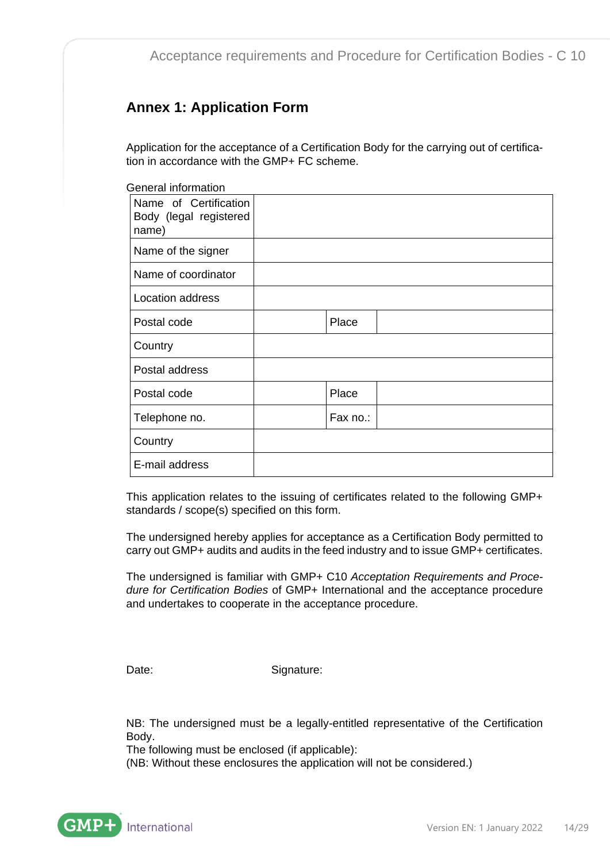### <span id="page-13-0"></span>**Annex 1: Application Form**

Application for the acceptance of a Certification Body for the carrying out of certification in accordance with the GMP+ FC scheme.

General information

| Name of Certification<br>Body (legal registered<br>name) |          |  |
|----------------------------------------------------------|----------|--|
| Name of the signer                                       |          |  |
| Name of coordinator                                      |          |  |
| Location address                                         |          |  |
| Postal code                                              | Place    |  |
| Country                                                  |          |  |
| Postal address                                           |          |  |
| Postal code                                              | Place    |  |
| Telephone no.                                            | Fax no.: |  |
| Country                                                  |          |  |
| E-mail address                                           |          |  |

This application relates to the issuing of certificates related to the following GMP+ standards / scope(s) specified on this form.

The undersigned hereby applies for acceptance as a Certification Body permitted to carry out GMP+ audits and audits in the feed industry and to issue GMP+ certificates.

The undersigned is familiar with GMP+ C10 *Acceptation Requirements and Procedure for Certification Bodies* of GMP+ International and the acceptance procedure and undertakes to cooperate in the acceptance procedure.

Date: Signature:

NB: The undersigned must be a legally-entitled representative of the Certification Body.

The following must be enclosed (if applicable):

(NB: Without these enclosures the application will not be considered.)

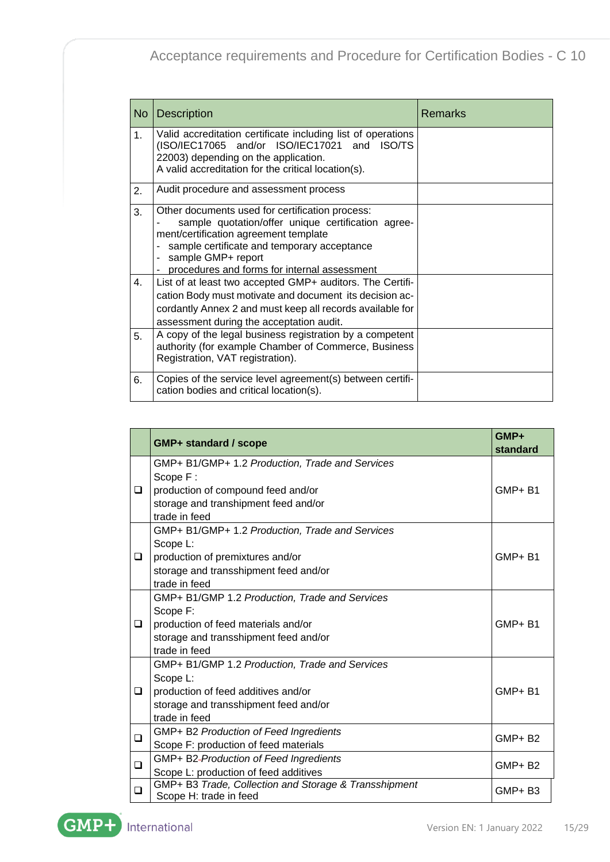| <b>No</b>      | <b>Description</b>                                                                                                                                                                                                                                                  | <b>Remarks</b> |
|----------------|---------------------------------------------------------------------------------------------------------------------------------------------------------------------------------------------------------------------------------------------------------------------|----------------|
| 1 <sub>1</sub> | Valid accreditation certificate including list of operations<br>(ISO/IEC17065 and/or ISO/IEC17021 and ISO/TS<br>22003) depending on the application.<br>A valid accreditation for the critical location(s).                                                         |                |
| 2.             | Audit procedure and assessment process                                                                                                                                                                                                                              |                |
| 3.             | Other documents used for certification process:<br>sample quotation/offer unique certification agree-<br>ment/certification agreement template<br>sample certificate and temporary acceptance<br>sample GMP+ report<br>procedures and forms for internal assessment |                |
| 4.             | List of at least two accepted GMP+ auditors. The Certifi-<br>cation Body must motivate and document its decision ac-<br>cordantly Annex 2 and must keep all records available for<br>assessment during the acceptation audit.                                       |                |
| 5.             | A copy of the legal business registration by a competent<br>authority (for example Chamber of Commerce, Business<br>Registration, VAT registration).                                                                                                                |                |
| 6.             | Copies of the service level agreement(s) between certifi-<br>cation bodies and critical location(s).                                                                                                                                                                |                |

|        |                                                                                                                                                             | GMP+          |
|--------|-------------------------------------------------------------------------------------------------------------------------------------------------------------|---------------|
|        | <b>GMP+ standard / scope</b>                                                                                                                                | standard      |
| $\Box$ | GMP+ B1/GMP+ 1.2 Production, Trade and Services<br>Scope F:<br>production of compound feed and/or<br>storage and transhipment feed and/or<br>trade in feed  | GMP+B1        |
| ❏      | GMP+ B1/GMP+ 1.2 Production, Trade and Services<br>Scope L:<br>production of premixtures and/or<br>storage and transshipment feed and/or<br>trade in feed   | GMP+B1        |
| ❏      | GMP+ B1/GMP 1.2 Production, Trade and Services<br>Scope F:<br>production of feed materials and/or<br>storage and transshipment feed and/or<br>trade in feed | GMP+B1        |
| ❏      | GMP+ B1/GMP 1.2 Production, Trade and Services<br>Scope L:<br>production of feed additives and/or<br>storage and transshipment feed and/or<br>trade in feed | GMP+B1        |
| ❏      | GMP+ B2 Production of Feed Ingredients<br>Scope F: production of feed materials                                                                             | <b>GMP+B2</b> |
| $\Box$ | GMP+ B2-Production of Feed Ingredients<br>Scope L: production of feed additives                                                                             | <b>GMP+B2</b> |
| $\Box$ | GMP+ B3 Trade, Collection and Storage & Transshipment<br>Scope H: trade in feed                                                                             | GMP+B3        |

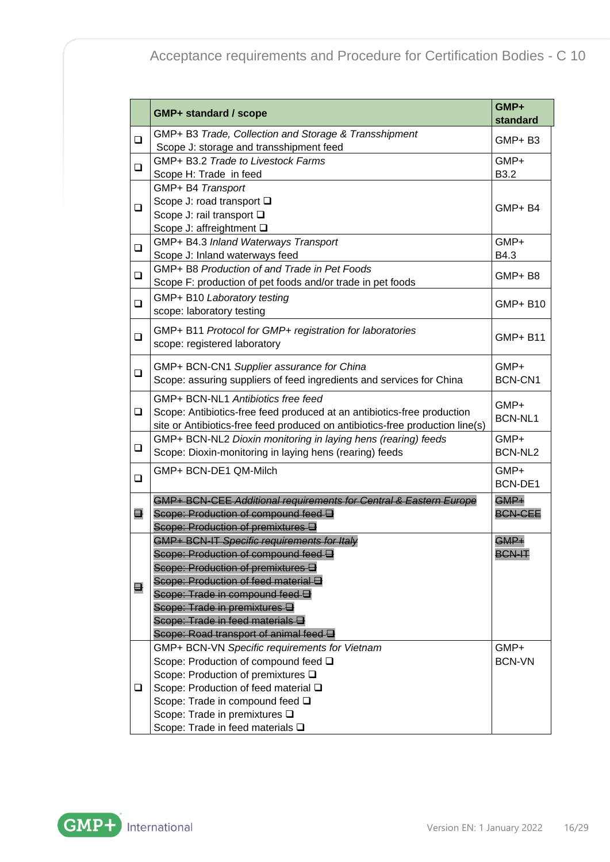|                | <b>GMP+ standard / scope</b>                                                  | GMP+<br>standard |
|----------------|-------------------------------------------------------------------------------|------------------|
| $\Box$         | GMP+ B3 Trade, Collection and Storage & Transshipment                         | GMP+B3           |
|                | Scope J: storage and transshipment feed                                       |                  |
| $\Box$         | GMP+ B3.2 Trade to Livestock Farms                                            | GMP+             |
|                | Scope H: Trade in feed                                                        | B3.2             |
|                | GMP+ B4 Transport                                                             |                  |
| □              | Scope J: road transport □                                                     | GMP+B4           |
|                | Scope J: rail transport $\square$                                             |                  |
|                | Scope J: affreightment □                                                      |                  |
| $\Box$         | GMP+ B4.3 Inland Waterways Transport                                          | GMP+             |
|                | Scope J: Inland waterways feed                                                | B4.3             |
| $\Box$         | GMP+ B8 Production of and Trade in Pet Foods                                  | GMP+B8           |
|                | Scope F: production of pet foods and/or trade in pet foods                    |                  |
| $\Box$         | GMP+ B10 Laboratory testing                                                   | GMP+ B10         |
|                | scope: laboratory testing                                                     |                  |
|                | GMP+ B11 Protocol for GMP+ registration for laboratories                      |                  |
| $\Box$         | scope: registered laboratory                                                  | <b>GMP+ B11</b>  |
|                |                                                                               |                  |
| $\Box$         | GMP+ BCN-CN1 Supplier assurance for China                                     | GMP+             |
|                | Scope: assuring suppliers of feed ingredients and services for China          | BCN-CN1          |
|                | GMP+ BCN-NL1 Antibiotics free feed                                            | GMP+             |
| $\Box$         | Scope: Antibiotics-free feed produced at an antibiotics-free production       | <b>BCN-NL1</b>   |
|                | site or Antibiotics-free feed produced on antibiotics-free production line(s) |                  |
|                | GMP+ BCN-NL2 Dioxin monitoring in laying hens (rearing) feeds                 | GMP+             |
| $\Box$         | Scope: Dioxin-monitoring in laying hens (rearing) feeds                       | BCN-NL2          |
|                | GMP+ BCN-DE1 QM-Milch                                                         | GMP+             |
| $\Box$         |                                                                               | <b>BCN-DE1</b>   |
|                | GMP+ BCN-CEE Additional requirements for Central & Eastern Europe             | GMP+             |
| ⊟              | Scope: Production of compound feed $\boxminus$                                | <b>BCN-CEE</b>   |
|                | Scope: Production of premixtures <b>a</b>                                     |                  |
|                | GMP+ BCN-IT Specific requirements for Italy                                   | $GMP+$           |
|                | Scope: Production of compound feed and                                        | <b>BCN-IT</b>    |
|                | Scope: Production of premixtures <b>B</b>                                     |                  |
|                | Scope: Production of feed material a                                          |                  |
| $\blacksquare$ | Scope: Trade in compound feed $\boxminus$                                     |                  |
|                | Scope: Trade in premixtures <b>D</b>                                          |                  |
|                | Scope: Trade in feed materials a                                              |                  |
|                | Scope: Road transport of animal feed a                                        |                  |
|                | GMP+ BCN-VN Specific requirements for Vietnam                                 | GMP+             |
|                | Scope: Production of compound feed $\square$                                  | <b>BCN-VN</b>    |
|                | Scope: Production of premixtures $\square$                                    |                  |
| ❏              | Scope: Production of feed material $\square$                                  |                  |
|                | Scope: Trade in compound feed $\square$                                       |                  |
|                | Scope: Trade in premixtures $\square$                                         |                  |
|                | Scope: Trade in feed materials $\square$                                      |                  |

**GMP+** International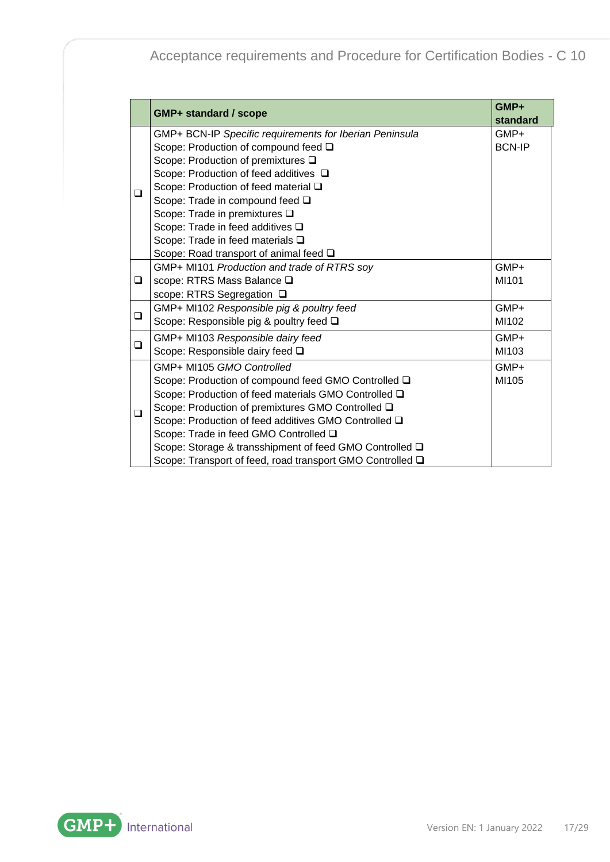|        | <b>GMP+ standard / scope</b>                              | GMP+<br>standard |
|--------|-----------------------------------------------------------|------------------|
|        | GMP+ BCN-IP Specific requirements for Iberian Peninsula   | GMP+             |
|        | Scope: Production of compound feed $\square$              | <b>BCN-IP</b>    |
|        | Scope: Production of premixtures $\square$                |                  |
|        | Scope: Production of feed additives $\Box$                |                  |
|        | Scope: Production of feed material $\square$              |                  |
| ◻      | Scope: Trade in compound feed $\square$                   |                  |
|        | Scope: Trade in premixtures $\square$                     |                  |
|        | Scope: Trade in feed additives $\square$                  |                  |
|        | Scope: Trade in feed materials $\square$                  |                  |
|        | Scope: Road transport of animal feed $\square$            |                  |
|        | GMP+ MI101 Production and trade of RTRS soy               | $GMP+$           |
| □      | scope: RTRS Mass Balance Q                                | MI101            |
|        | scope: RTRS Segregation □                                 |                  |
|        | GMP+ MI102 Responsible pig & poultry feed                 | GMP+             |
| $\Box$ | Scope: Responsible pig & poultry feed □                   | MI102            |
|        | GMP+ MI103 Responsible dairy feed                         | GMP+             |
| ❏      | Scope: Responsible dairy feed Q                           | MI103            |
|        | GMP+ MI105 GMO Controlled                                 | $GMP+$           |
|        | Scope: Production of compound feed GMO Controlled Q       | MI105            |
|        | Scope: Production of feed materials GMO Controlled Q      |                  |
| ❏      | Scope: Production of premixtures GMO Controlled Q         |                  |
|        | Scope: Production of feed additives GMO Controlled Q      |                  |
|        | Scope: Trade in feed GMO Controlled Q                     |                  |
|        | Scope: Storage & transshipment of feed GMO Controlled □   |                  |
|        | Scope: Transport of feed, road transport GMO Controlled Q |                  |

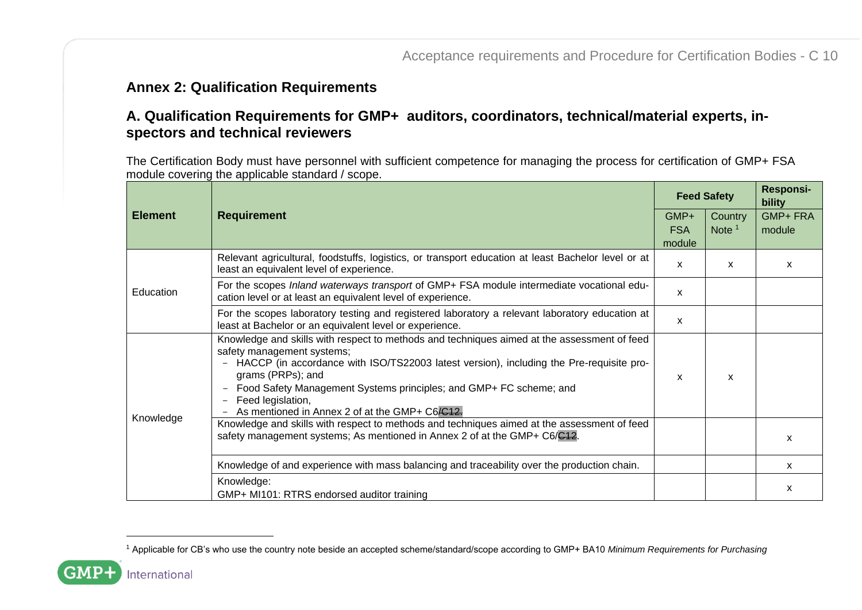### **Annex 2: Qualification Requirements**

### **A. Qualification Requirements for GMP+ auditors, coordinators, technical/material experts, inspectors and technical reviewers**

The Certification Body must have personnel with sufficient competence for managing the process for certification of GMP+ FSA module covering the applicable standard / scope.

<span id="page-17-0"></span>

|                |                                                                                                                                                                                                                                                                                                                                                                                                                    |                      | <b>Feed Safety</b> | <b>Responsi-</b><br>bility |
|----------------|--------------------------------------------------------------------------------------------------------------------------------------------------------------------------------------------------------------------------------------------------------------------------------------------------------------------------------------------------------------------------------------------------------------------|----------------------|--------------------|----------------------------|
| <b>Element</b> | <b>Requirement</b>                                                                                                                                                                                                                                                                                                                                                                                                 | GMP+                 | Country            | <b>GMP+FRA</b>             |
|                |                                                                                                                                                                                                                                                                                                                                                                                                                    | <b>FSA</b><br>module | Note $1$           | module                     |
|                | Relevant agricultural, foodstuffs, logistics, or transport education at least Bachelor level or at<br>least an equivalent level of experience.                                                                                                                                                                                                                                                                     | X                    | $\mathsf{x}$       | X                          |
| Education      | For the scopes Inland waterways transport of GMP+ FSA module intermediate vocational edu-<br>cation level or at least an equivalent level of experience.                                                                                                                                                                                                                                                           | X                    |                    |                            |
|                | For the scopes laboratory testing and registered laboratory a relevant laboratory education at<br>least at Bachelor or an equivalent level or experience.                                                                                                                                                                                                                                                          | X                    |                    |                            |
|                | Knowledge and skills with respect to methods and techniques aimed at the assessment of feed<br>safety management systems;<br>HACCP (in accordance with ISO/TS22003 latest version), including the Pre-requisite pro-<br>$\overline{\phantom{m}}$<br>grams (PRPs); and<br>Food Safety Management Systems principles; and GMP+ FC scheme; and<br>Feed legislation,<br>As mentioned in Annex 2 of at the GMP+ C6/C12. | X                    | x                  |                            |
| Knowledge      | Knowledge and skills with respect to methods and techniques aimed at the assessment of feed<br>safety management systems; As mentioned in Annex 2 of at the GMP+ C6/C12.                                                                                                                                                                                                                                           |                      |                    | X                          |
|                | Knowledge of and experience with mass balancing and traceability over the production chain.                                                                                                                                                                                                                                                                                                                        |                      |                    | X                          |
|                | Knowledge:<br>GMP+ MI101: RTRS endorsed auditor training                                                                                                                                                                                                                                                                                                                                                           |                      |                    | x                          |

<sup>1</sup> Applicable for CB's who use the country note beside an accepted scheme/standard/scope according to GMP+ BA10 *Minimum Requirements for Purchasing*

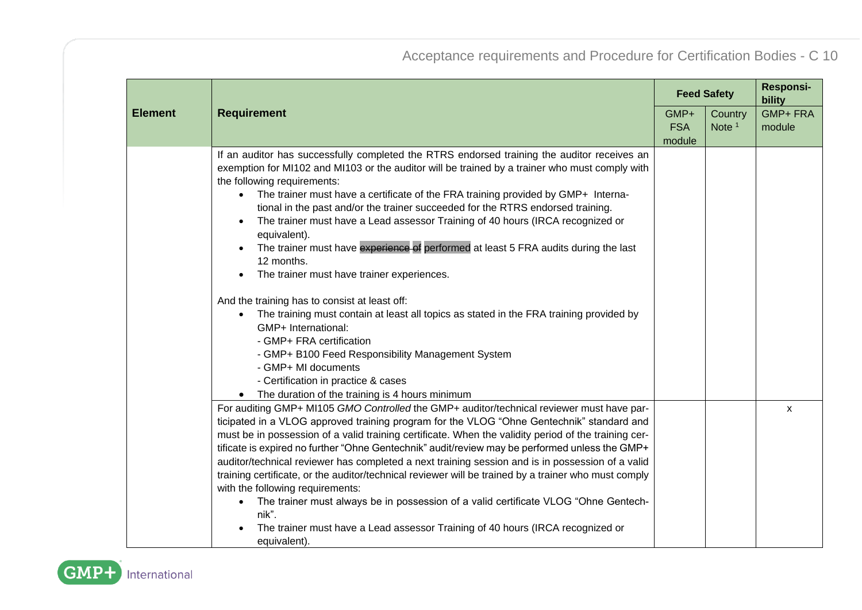|                |                                                                                                                               |            | <b>Feed Safety</b> | <b>Responsi-</b><br>bility |
|----------------|-------------------------------------------------------------------------------------------------------------------------------|------------|--------------------|----------------------------|
| <b>Element</b> | <b>Requirement</b>                                                                                                            | GMP+       | Country            | <b>GMP+FRA</b>             |
|                |                                                                                                                               | <b>FSA</b> | Note $1$           | module                     |
|                |                                                                                                                               | module     |                    |                            |
|                | If an auditor has successfully completed the RTRS endorsed training the auditor receives an                                   |            |                    |                            |
|                | exemption for MI102 and MI103 or the auditor will be trained by a trainer who must comply with<br>the following requirements: |            |                    |                            |
|                | The trainer must have a certificate of the FRA training provided by GMP+ Interna-<br>$\bullet$                                |            |                    |                            |
|                | tional in the past and/or the trainer succeeded for the RTRS endorsed training.                                               |            |                    |                            |
|                | The trainer must have a Lead assessor Training of 40 hours (IRCA recognized or<br>$\bullet$<br>equivalent).                   |            |                    |                            |
|                | The trainer must have experience of performed at least 5 FRA audits during the last<br>12 months.                             |            |                    |                            |
|                | The trainer must have trainer experiences.<br>$\bullet$                                                                       |            |                    |                            |
|                | And the training has to consist at least off:                                                                                 |            |                    |                            |
|                | The training must contain at least all topics as stated in the FRA training provided by<br>$\bullet$<br>GMP+ International:   |            |                    |                            |
|                | - GMP+ FRA certification                                                                                                      |            |                    |                            |
|                | - GMP+ B100 Feed Responsibility Management System                                                                             |            |                    |                            |
|                | - GMP+ MI documents                                                                                                           |            |                    |                            |
|                | - Certification in practice & cases                                                                                           |            |                    |                            |
|                | • The duration of the training is 4 hours minimum                                                                             |            |                    |                            |
|                | For auditing GMP+ MI105 GMO Controlled the GMP+ auditor/technical reviewer must have par-                                     |            |                    | $\mathsf{x}$               |
|                | ticipated in a VLOG approved training program for the VLOG "Ohne Gentechnik" standard and                                     |            |                    |                            |
|                | must be in possession of a valid training certificate. When the validity period of the training cer-                          |            |                    |                            |
|                | tificate is expired no further "Ohne Gentechnik" audit/review may be performed unless the GMP+                                |            |                    |                            |
|                | auditor/technical reviewer has completed a next training session and is in possession of a valid                              |            |                    |                            |
|                | training certificate, or the auditor/technical reviewer will be trained by a trainer who must comply                          |            |                    |                            |
|                | with the following requirements:                                                                                              |            |                    |                            |
|                | The trainer must always be in possession of a valid certificate VLOG "Ohne Gentech-<br>$\bullet$<br>nik".                     |            |                    |                            |
|                | The trainer must have a Lead assessor Training of 40 hours (IRCA recognized or<br>equivalent).                                |            |                    |                            |

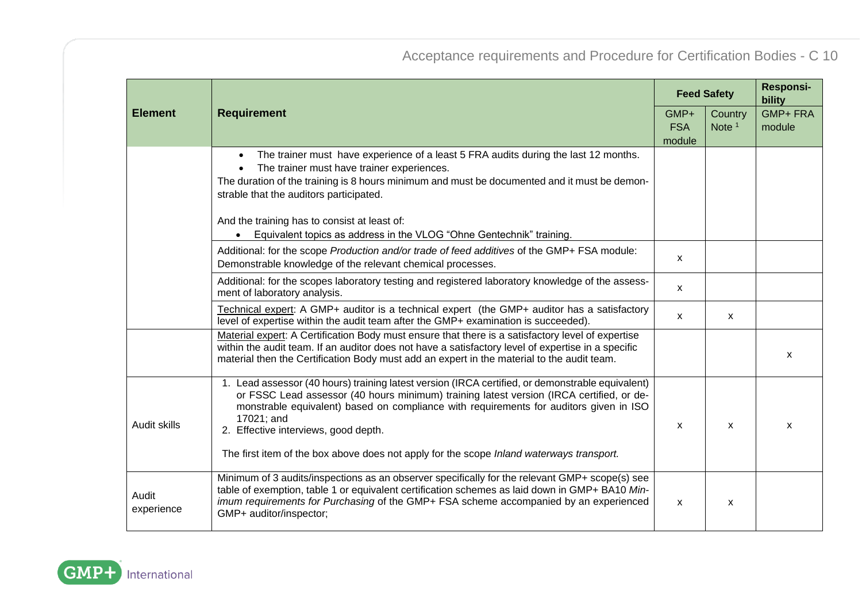|                     |                                                                                                                                                                                                                                                                                                                                              | <b>Feed Safety</b><br>GMP+<br><b>FSA</b><br>module |                     | <b>Responsi-</b><br>bility |  |
|---------------------|----------------------------------------------------------------------------------------------------------------------------------------------------------------------------------------------------------------------------------------------------------------------------------------------------------------------------------------------|----------------------------------------------------|---------------------|----------------------------|--|
| <b>Element</b>      | <b>Requirement</b>                                                                                                                                                                                                                                                                                                                           |                                                    | Country<br>Note $1$ | <b>GMP+FRA</b><br>module   |  |
|                     | The trainer must have experience of a least 5 FRA audits during the last 12 months.<br>$\bullet$<br>The trainer must have trainer experiences.<br>$\bullet$<br>The duration of the training is 8 hours minimum and must be documented and it must be demon-<br>strable that the auditors participated.                                       |                                                    |                     |                            |  |
|                     | And the training has to consist at least of:<br>Equivalent topics as address in the VLOG "Ohne Gentechnik" training.                                                                                                                                                                                                                         |                                                    |                     |                            |  |
|                     | Additional: for the scope Production and/or trade of feed additives of the GMP+ FSA module:<br>Demonstrable knowledge of the relevant chemical processes.                                                                                                                                                                                    | X                                                  |                     |                            |  |
|                     | Additional: for the scopes laboratory testing and registered laboratory knowledge of the assess-<br>ment of laboratory analysis.                                                                                                                                                                                                             | $\mathsf{x}$                                       |                     |                            |  |
|                     | Technical expert: A GMP+ auditor is a technical expert (the GMP+ auditor has a satisfactory<br>level of expertise within the audit team after the GMP+ examination is succeeded).                                                                                                                                                            | $\mathsf{x}$                                       | x                   |                            |  |
|                     | Material expert: A Certification Body must ensure that there is a satisfactory level of expertise<br>within the audit team. If an auditor does not have a satisfactory level of expertise in a specific<br>material then the Certification Body must add an expert in the material to the audit team.                                        |                                                    |                     | X                          |  |
| Audit skills        | 1. Lead assessor (40 hours) training latest version (IRCA certified, or demonstrable equivalent)<br>or FSSC Lead assessor (40 hours minimum) training latest version (IRCA certified, or de-<br>monstrable equivalent) based on compliance with requirements for auditors given in ISO<br>17021; and<br>2. Effective interviews, good depth. | X                                                  | X                   | X                          |  |
|                     | The first item of the box above does not apply for the scope Inland waterways transport.                                                                                                                                                                                                                                                     |                                                    |                     |                            |  |
| Audit<br>experience | Minimum of 3 audits/inspections as an observer specifically for the relevant GMP+ scope(s) see<br>table of exemption, table 1 or equivalent certification schemes as laid down in GMP+ BA10 Min-<br>imum requirements for Purchasing of the GMP+ FSA scheme accompanied by an experienced<br>GMP+ auditor/inspector;                         | X                                                  | X                   |                            |  |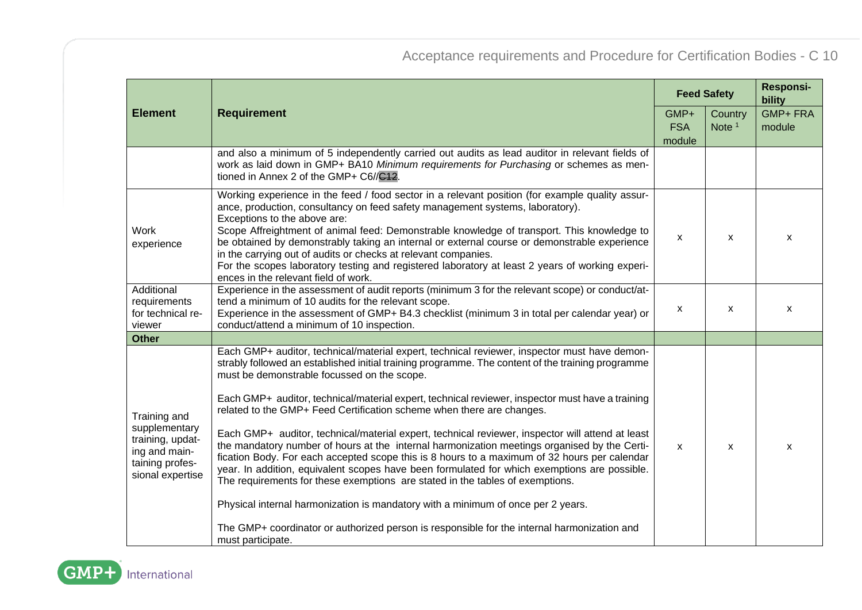|                                                                                                           |                                                                                                                                                                                                                                                                                                                                                                                                                                                                                                                                                                                                                                                                                                                                                                                                                                                                                                                                                                                                                                                                                                                            |              | <b>Feed Safety</b> |                |
|-----------------------------------------------------------------------------------------------------------|----------------------------------------------------------------------------------------------------------------------------------------------------------------------------------------------------------------------------------------------------------------------------------------------------------------------------------------------------------------------------------------------------------------------------------------------------------------------------------------------------------------------------------------------------------------------------------------------------------------------------------------------------------------------------------------------------------------------------------------------------------------------------------------------------------------------------------------------------------------------------------------------------------------------------------------------------------------------------------------------------------------------------------------------------------------------------------------------------------------------------|--------------|--------------------|----------------|
| <b>Element</b>                                                                                            | <b>Requirement</b>                                                                                                                                                                                                                                                                                                                                                                                                                                                                                                                                                                                                                                                                                                                                                                                                                                                                                                                                                                                                                                                                                                         | GMP+         | Country            | <b>GMP+FRA</b> |
|                                                                                                           |                                                                                                                                                                                                                                                                                                                                                                                                                                                                                                                                                                                                                                                                                                                                                                                                                                                                                                                                                                                                                                                                                                                            | <b>FSA</b>   | Note $1$           | module         |
|                                                                                                           |                                                                                                                                                                                                                                                                                                                                                                                                                                                                                                                                                                                                                                                                                                                                                                                                                                                                                                                                                                                                                                                                                                                            | module       |                    |                |
|                                                                                                           | and also a minimum of 5 independently carried out audits as lead auditor in relevant fields of<br>work as laid down in GMP+ BA10 Minimum requirements for Purchasing or schemes as men-<br>tioned in Annex 2 of the GMP+ C6//C12.                                                                                                                                                                                                                                                                                                                                                                                                                                                                                                                                                                                                                                                                                                                                                                                                                                                                                          |              |                    |                |
| <b>Work</b><br>experience                                                                                 | Working experience in the feed / food sector in a relevant position (for example quality assur-<br>ance, production, consultancy on feed safety management systems, laboratory).<br>Exceptions to the above are:<br>Scope Affreightment of animal feed: Demonstrable knowledge of transport. This knowledge to<br>be obtained by demonstrably taking an internal or external course or demonstrable experience<br>in the carrying out of audits or checks at relevant companies.<br>For the scopes laboratory testing and registered laboratory at least 2 years of working experi-<br>ences in the relevant field of work.                                                                                                                                                                                                                                                                                                                                                                                                                                                                                                | X            | x                  | X              |
| Additional<br>requirements<br>for technical re-<br>viewer                                                 | Experience in the assessment of audit reports (minimum 3 for the relevant scope) or conduct/at-<br>tend a minimum of 10 audits for the relevant scope.<br>Experience in the assessment of GMP+ B4.3 checklist (minimum 3 in total per calendar year) or<br>conduct/attend a minimum of 10 inspection.                                                                                                                                                                                                                                                                                                                                                                                                                                                                                                                                                                                                                                                                                                                                                                                                                      | X            | X                  | X              |
| <b>Other</b>                                                                                              |                                                                                                                                                                                                                                                                                                                                                                                                                                                                                                                                                                                                                                                                                                                                                                                                                                                                                                                                                                                                                                                                                                                            |              |                    |                |
| Training and<br>supplementary<br>training, updat-<br>ing and main-<br>taining profes-<br>sional expertise | Each GMP+ auditor, technical/material expert, technical reviewer, inspector must have demon-<br>strably followed an established initial training programme. The content of the training programme<br>must be demonstrable focussed on the scope.<br>Each GMP+ auditor, technical/material expert, technical reviewer, inspector must have a training<br>related to the GMP+ Feed Certification scheme when there are changes.<br>Each GMP+ auditor, technical/material expert, technical reviewer, inspector will attend at least<br>the mandatory number of hours at the internal harmonization meetings organised by the Certi-<br>fication Body. For each accepted scope this is 8 hours to a maximum of 32 hours per calendar<br>year. In addition, equivalent scopes have been formulated for which exemptions are possible.<br>The requirements for these exemptions are stated in the tables of exemptions.<br>Physical internal harmonization is mandatory with a minimum of once per 2 years.<br>The GMP+ coordinator or authorized person is responsible for the internal harmonization and<br>must participate. | $\mathsf{x}$ | X                  | X              |

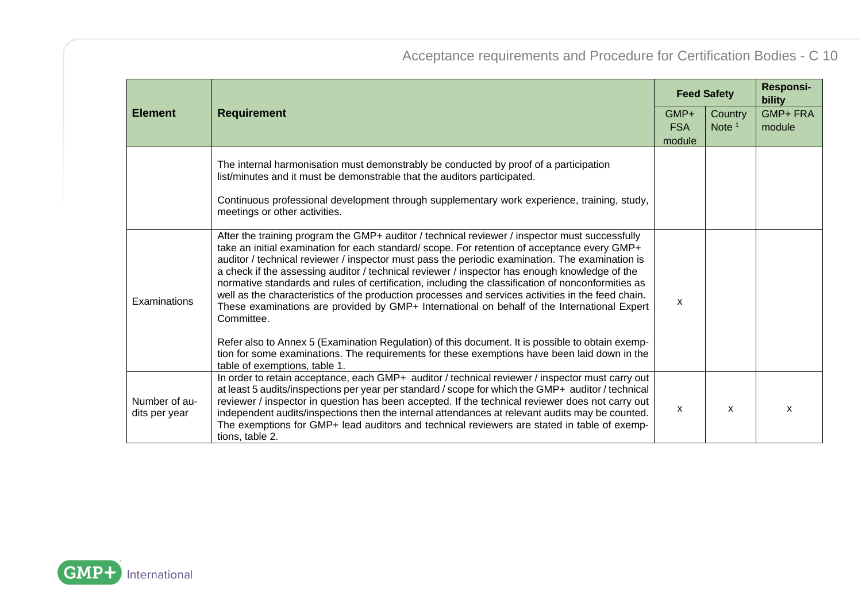|                                | <b>Requirement</b>                                                                                                                                                                                                                                                                                                                                                                                                                                                                                                                                                                                                                                                                                                                                                                                                                                                                                                                                              |   | <b>Feed Safety</b>  |                          |
|--------------------------------|-----------------------------------------------------------------------------------------------------------------------------------------------------------------------------------------------------------------------------------------------------------------------------------------------------------------------------------------------------------------------------------------------------------------------------------------------------------------------------------------------------------------------------------------------------------------------------------------------------------------------------------------------------------------------------------------------------------------------------------------------------------------------------------------------------------------------------------------------------------------------------------------------------------------------------------------------------------------|---|---------------------|--------------------------|
| <b>Element</b>                 |                                                                                                                                                                                                                                                                                                                                                                                                                                                                                                                                                                                                                                                                                                                                                                                                                                                                                                                                                                 |   | Country<br>Note $1$ | <b>GMP+FRA</b><br>module |
|                                | The internal harmonisation must demonstrably be conducted by proof of a participation<br>list/minutes and it must be demonstrable that the auditors participated.<br>Continuous professional development through supplementary work experience, training, study,<br>meetings or other activities.                                                                                                                                                                                                                                                                                                                                                                                                                                                                                                                                                                                                                                                               |   |                     |                          |
| Examinations                   | After the training program the GMP+ auditor / technical reviewer / inspector must successfully<br>take an initial examination for each standard/scope. For retention of acceptance every GMP+<br>auditor / technical reviewer / inspector must pass the periodic examination. The examination is<br>a check if the assessing auditor / technical reviewer / inspector has enough knowledge of the<br>normative standards and rules of certification, including the classification of nonconformities as<br>well as the characteristics of the production processes and services activities in the feed chain.<br>These examinations are provided by GMP+ International on behalf of the International Expert<br>Committee.<br>Refer also to Annex 5 (Examination Regulation) of this document. It is possible to obtain exemp-<br>tion for some examinations. The requirements for these exemptions have been laid down in the<br>table of exemptions, table 1. | X |                     |                          |
| Number of au-<br>dits per year | In order to retain acceptance, each GMP+ auditor / technical reviewer / inspector must carry out<br>at least 5 audits/inspections per year per standard / scope for which the GMP+ auditor / technical<br>reviewer / inspector in question has been accepted. If the technical reviewer does not carry out<br>independent audits/inspections then the internal attendances at relevant audits may be counted.<br>The exemptions for GMP+ lead auditors and technical reviewers are stated in table of exemp-<br>tions, table 2.                                                                                                                                                                                                                                                                                                                                                                                                                                 | X | x                   | X                        |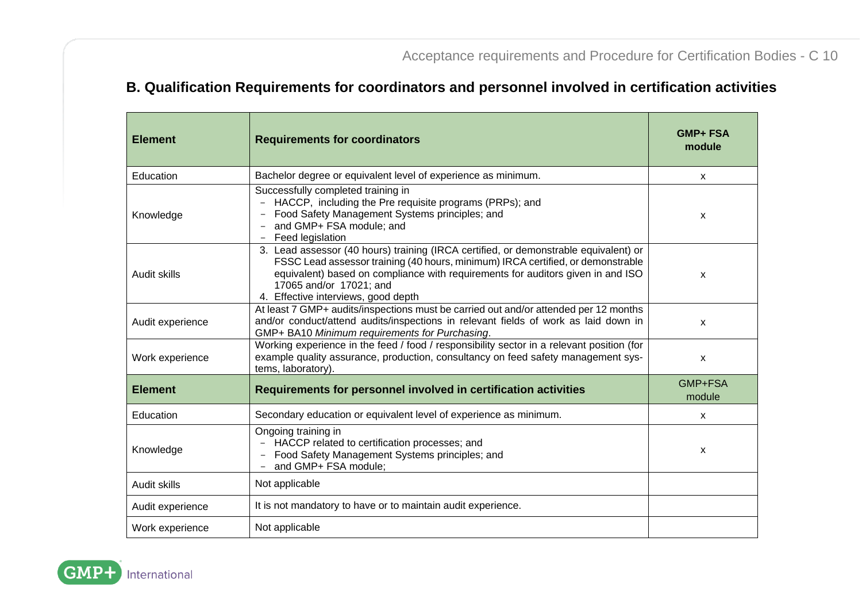### **B. Qualification Requirements for coordinators and personnel involved in certification activities**

| <b>Element</b>   | <b>Requirements for coordinators</b>                                                                                                                                                                                                                                                                                         | <b>GMP+ FSA</b><br>module |
|------------------|------------------------------------------------------------------------------------------------------------------------------------------------------------------------------------------------------------------------------------------------------------------------------------------------------------------------------|---------------------------|
| Education        | Bachelor degree or equivalent level of experience as minimum.                                                                                                                                                                                                                                                                | x                         |
| Knowledge        | Successfully completed training in<br>- HACCP, including the Pre requisite programs (PRPs); and<br>Food Safety Management Systems principles; and<br>and GMP+ FSA module; and<br>Feed legislation                                                                                                                            | X                         |
| Audit skills     | 3. Lead assessor (40 hours) training (IRCA certified, or demonstrable equivalent) or<br>FSSC Lead assessor training (40 hours, minimum) IRCA certified, or demonstrable<br>equivalent) based on compliance with requirements for auditors given in and ISO<br>17065 and/or 17021; and<br>4. Effective interviews, good depth | X                         |
| Audit experience | At least 7 GMP+ audits/inspections must be carried out and/or attended per 12 months<br>and/or conduct/attend audits/inspections in relevant fields of work as laid down in<br>GMP+ BA10 Minimum requirements for Purchasing.                                                                                                | X                         |
| Work experience  | Working experience in the feed / food / responsibility sector in a relevant position (for<br>example quality assurance, production, consultancy on feed safety management sys-<br>tems, laboratory).                                                                                                                         | X                         |
| <b>Element</b>   | Requirements for personnel involved in certification activities                                                                                                                                                                                                                                                              | GMP+FSA<br>module         |
| Education        | Secondary education or equivalent level of experience as minimum.                                                                                                                                                                                                                                                            | x                         |
| Knowledge        | Ongoing training in<br>- HACCP related to certification processes; and<br>Food Safety Management Systems principles; and<br>and GMP+ FSA module;                                                                                                                                                                             | X                         |
| Audit skills     | Not applicable                                                                                                                                                                                                                                                                                                               |                           |
| Audit experience | It is not mandatory to have or to maintain audit experience.                                                                                                                                                                                                                                                                 |                           |
| Work experience  | Not applicable                                                                                                                                                                                                                                                                                                               |                           |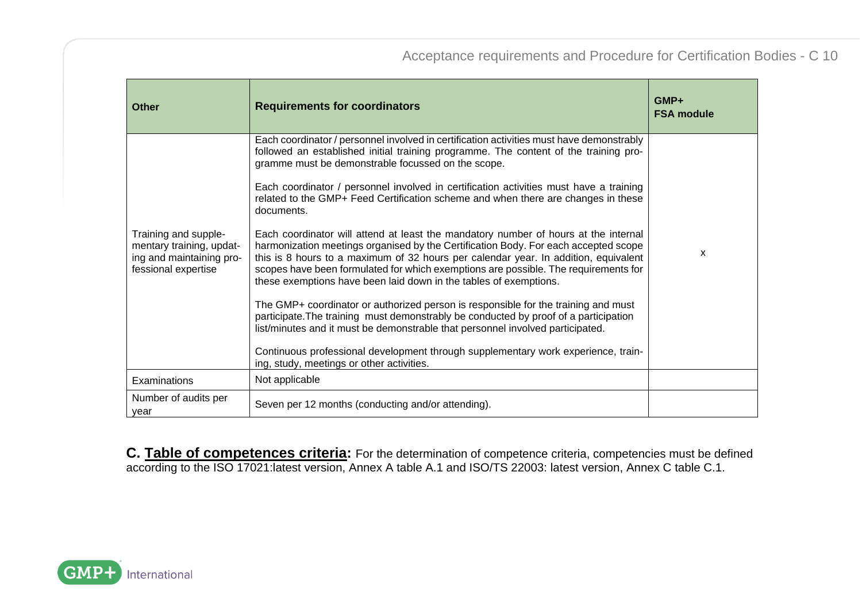| Other                                                                                               | <b>Requirements for coordinators</b>                                                                                                                                                                                                                                                                                                                                                                                          | GMP+<br><b>FSA module</b> |
|-----------------------------------------------------------------------------------------------------|-------------------------------------------------------------------------------------------------------------------------------------------------------------------------------------------------------------------------------------------------------------------------------------------------------------------------------------------------------------------------------------------------------------------------------|---------------------------|
|                                                                                                     | Each coordinator / personnel involved in certification activities must have demonstrably<br>followed an established initial training programme. The content of the training pro-<br>gramme must be demonstrable focussed on the scope.                                                                                                                                                                                        |                           |
|                                                                                                     | Each coordinator / personnel involved in certification activities must have a training<br>related to the GMP+ Feed Certification scheme and when there are changes in these<br>documents.                                                                                                                                                                                                                                     |                           |
| Training and supple-<br>mentary training, updat-<br>ing and maintaining pro-<br>fessional expertise | Each coordinator will attend at least the mandatory number of hours at the internal<br>harmonization meetings organised by the Certification Body. For each accepted scope<br>this is 8 hours to a maximum of 32 hours per calendar year. In addition, equivalent<br>scopes have been formulated for which exemptions are possible. The requirements for<br>these exemptions have been laid down in the tables of exemptions. | $\mathsf{x}$              |
|                                                                                                     | The GMP+ coordinator or authorized person is responsible for the training and must<br>participate. The training must demonstrably be conducted by proof of a participation<br>list/minutes and it must be demonstrable that personnel involved participated.                                                                                                                                                                  |                           |
|                                                                                                     | Continuous professional development through supplementary work experience, train-<br>ing, study, meetings or other activities.                                                                                                                                                                                                                                                                                                |                           |
| Examinations                                                                                        | Not applicable                                                                                                                                                                                                                                                                                                                                                                                                                |                           |
| Number of audits per<br>vear                                                                        | Seven per 12 months (conducting and/or attending).                                                                                                                                                                                                                                                                                                                                                                            |                           |

**C. Table of competences criteria:** For the determination of competence criteria, competencies must be defined according to the ISO 17021:latest version, Annex A table A.1 and ISO/TS 22003: latest version, Annex C table C.1.

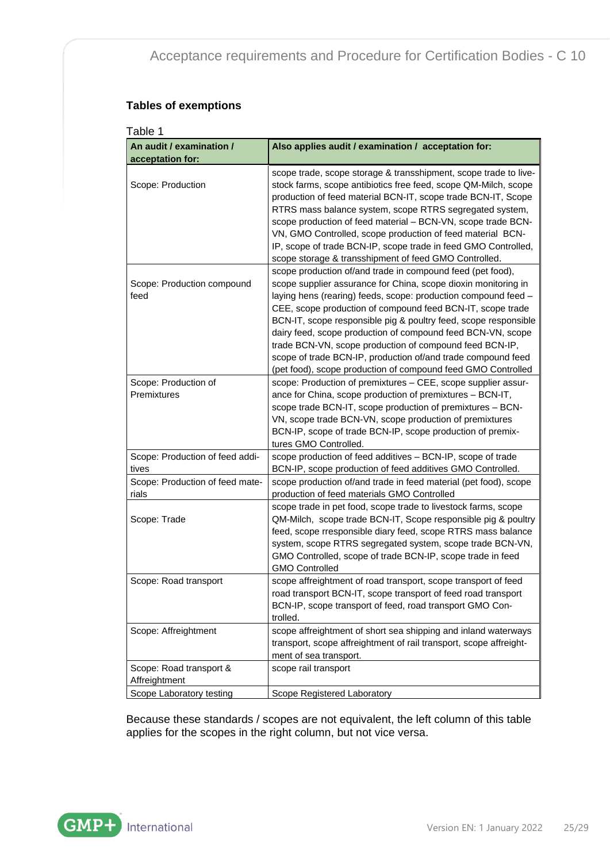#### **Tables of exemptions**

| Table 1                                      |                                                                                                                                                                                                                                                                                                                                                                                                                                                                                                                                                                                           |
|----------------------------------------------|-------------------------------------------------------------------------------------------------------------------------------------------------------------------------------------------------------------------------------------------------------------------------------------------------------------------------------------------------------------------------------------------------------------------------------------------------------------------------------------------------------------------------------------------------------------------------------------------|
| An audit / examination /<br>acceptation for: | Also applies audit / examination / acceptation for:                                                                                                                                                                                                                                                                                                                                                                                                                                                                                                                                       |
| Scope: Production                            | scope trade, scope storage & transshipment, scope trade to live-<br>stock farms, scope antibiotics free feed, scope QM-Milch, scope<br>production of feed material BCN-IT, scope trade BCN-IT, Scope<br>RTRS mass balance system, scope RTRS segregated system,<br>scope production of feed material - BCN-VN, scope trade BCN-<br>VN, GMO Controlled, scope production of feed material BCN-<br>IP, scope of trade BCN-IP, scope trade in feed GMO Controlled,<br>scope storage & transshipment of feed GMO Controlled.                                                                  |
| Scope: Production compound<br>feed           | scope production of/and trade in compound feed (pet food),<br>scope supplier assurance for China, scope dioxin monitoring in<br>laying hens (rearing) feeds, scope: production compound feed -<br>CEE, scope production of compound feed BCN-IT, scope trade<br>BCN-IT, scope responsible pig & poultry feed, scope responsible<br>dairy feed, scope production of compound feed BCN-VN, scope<br>trade BCN-VN, scope production of compound feed BCN-IP,<br>scope of trade BCN-IP, production of/and trade compound feed<br>(pet food), scope production of compound feed GMO Controlled |
| Scope: Production of<br>Premixtures          | scope: Production of premixtures - CEE, scope supplier assur-<br>ance for China, scope production of premixtures - BCN-IT,<br>scope trade BCN-IT, scope production of premixtures - BCN-<br>VN, scope trade BCN-VN, scope production of premixtures<br>BCN-IP, scope of trade BCN-IP, scope production of premix-<br>tures GMO Controlled.                                                                                                                                                                                                                                                |
| Scope: Production of feed addi-<br>tives     | scope production of feed additives - BCN-IP, scope of trade<br>BCN-IP, scope production of feed additives GMO Controlled.                                                                                                                                                                                                                                                                                                                                                                                                                                                                 |
| Scope: Production of feed mate-<br>rials     | scope production of/and trade in feed material (pet food), scope<br>production of feed materials GMO Controlled                                                                                                                                                                                                                                                                                                                                                                                                                                                                           |
| Scope: Trade                                 | scope trade in pet food, scope trade to livestock farms, scope<br>QM-Milch, scope trade BCN-IT, Scope responsible pig & poultry<br>feed, scope rresponsible diary feed, scope RTRS mass balance<br>system, scope RTRS segregated system, scope trade BCN-VN,<br>GMO Controlled, scope of trade BCN-IP, scope trade in feed<br><b>GMO Controlled</b>                                                                                                                                                                                                                                       |
| Scope: Road transport                        | scope affreightment of road transport, scope transport of feed<br>road transport BCN-IT, scope transport of feed road transport<br>BCN-IP, scope transport of feed, road transport GMO Con-<br>trolled.                                                                                                                                                                                                                                                                                                                                                                                   |
| Scope: Affreightment                         | scope affreightment of short sea shipping and inland waterways<br>transport, scope affreightment of rail transport, scope affreight-<br>ment of sea transport.                                                                                                                                                                                                                                                                                                                                                                                                                            |
| Scope: Road transport &<br>Affreightment     | scope rail transport                                                                                                                                                                                                                                                                                                                                                                                                                                                                                                                                                                      |
| Scope Laboratory testing                     | Scope Registered Laboratory                                                                                                                                                                                                                                                                                                                                                                                                                                                                                                                                                               |

Because these standards / scopes are not equivalent, the left column of this table applies for the scopes in the right column, but not vice versa.

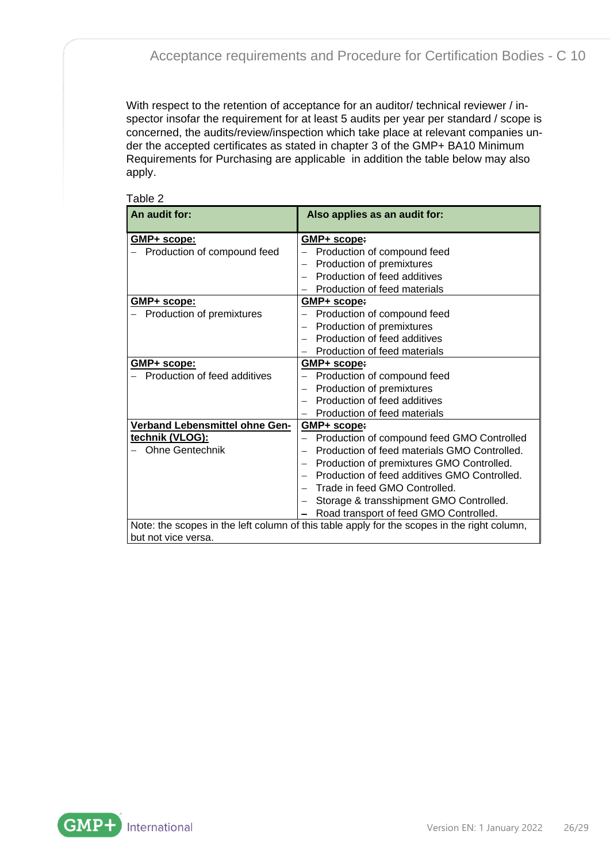With respect to the retention of acceptance for an auditor/ technical reviewer / inspector insofar the requirement for at least 5 audits per year per standard / scope is concerned, the audits/review/inspection which take place at relevant companies under the accepted certificates as stated in chapter 3 of the GMP+ BA10 Minimum Requirements for Purchasing are applicable in addition the table below may also apply.

| Table 2                        |                                                                                             |
|--------------------------------|---------------------------------------------------------------------------------------------|
| An audit for:                  | Also applies as an audit for:                                                               |
|                                |                                                                                             |
| GMP+ scope:                    | GMP+ scope:                                                                                 |
| Production of compound feed    | Production of compound feed                                                                 |
|                                | Production of premixtures                                                                   |
|                                | Production of feed additives                                                                |
|                                | Production of feed materials                                                                |
| <b>GMP+ scope:</b>             | <u>GMP+ scope:</u>                                                                          |
| Production of premixtures      | Production of compound feed                                                                 |
|                                | Production of premixtures                                                                   |
|                                | Production of feed additives                                                                |
|                                | Production of feed materials                                                                |
| GMP+ scope:                    | GMP+ scope:                                                                                 |
| Production of feed additives   | Production of compound feed                                                                 |
|                                | Production of premixtures                                                                   |
|                                | Production of feed additives                                                                |
|                                | Production of feed materials                                                                |
| Verband Lebensmittel ohne Gen- | GMP+ scope:                                                                                 |
| technik (VLOG):                | Production of compound feed GMO Controlled                                                  |
| <b>Ohne Gentechnik</b>         | Production of feed materials GMO Controlled.                                                |
|                                | Production of premixtures GMO Controlled.                                                   |
|                                | Production of feed additives GMO Controlled.                                                |
|                                | Trade in feed GMO Controlled.                                                               |
|                                | Storage & transshipment GMO Controlled.                                                     |
|                                | Road transport of feed GMO Controlled.                                                      |
|                                | Note: the scopes in the left column of this table apply for the scopes in the right column, |
| but not vice versa.            |                                                                                             |

GMP+ International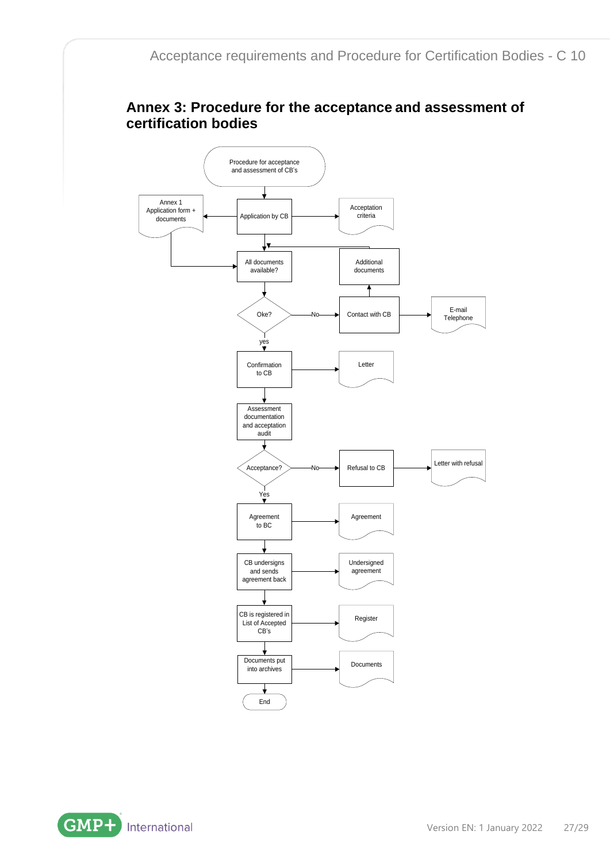### <span id="page-26-0"></span>**Annex 3: Procedure for the acceptance and assessment of certification bodies**



**GMP+** International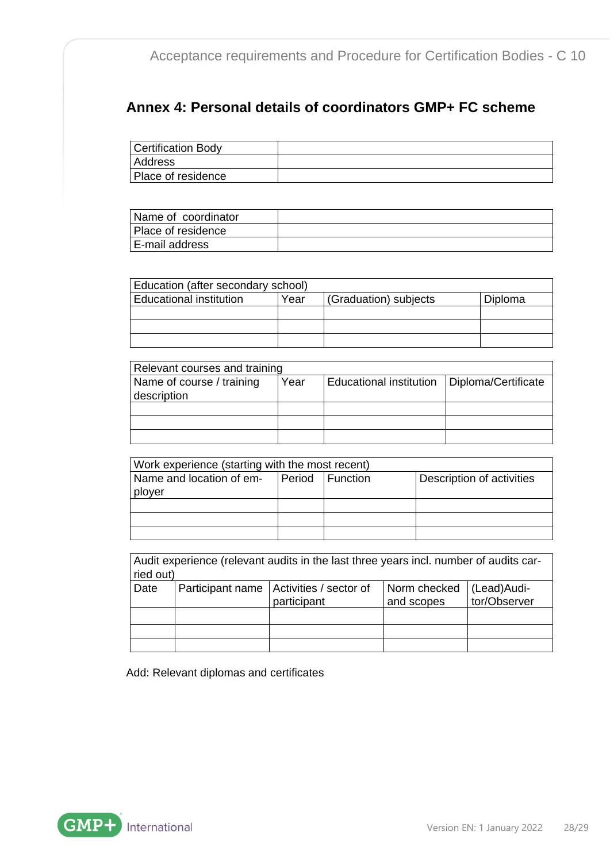### <span id="page-27-0"></span>**Annex 4: Personal details of coordinators GMP+ FC scheme**

| Certification Body |  |
|--------------------|--|
| Address            |  |
| Place of residence |  |

| Name of coordinator |  |
|---------------------|--|
| Place of residence  |  |
| E-mail address      |  |

| Education (after secondary school)                                         |  |  |  |  |
|----------------------------------------------------------------------------|--|--|--|--|
| <b>Educational institution</b><br>(Graduation) subjects<br>Year<br>Diploma |  |  |  |  |
|                                                                            |  |  |  |  |
|                                                                            |  |  |  |  |
|                                                                            |  |  |  |  |

| Relevant courses and training |      |                                |                     |  |
|-------------------------------|------|--------------------------------|---------------------|--|
| Name of course / training     | Year | <b>Educational institution</b> | Diploma/Certificate |  |
| description                   |      |                                |                     |  |
|                               |      |                                |                     |  |
|                               |      |                                |                     |  |
|                               |      |                                |                     |  |

| Work experience (starting with the most recent)                          |  |  |  |  |  |
|--------------------------------------------------------------------------|--|--|--|--|--|
| Period Function<br>Description of activities<br>Name and location of em- |  |  |  |  |  |
| plover                                                                   |  |  |  |  |  |
|                                                                          |  |  |  |  |  |
|                                                                          |  |  |  |  |  |
|                                                                          |  |  |  |  |  |

| Audit experience (relevant audits in the last three years incl. number of audits car-<br>ried out) |                                                                                                                       |  |  |  |  |  |  |
|----------------------------------------------------------------------------------------------------|-----------------------------------------------------------------------------------------------------------------------|--|--|--|--|--|--|
| Date                                                                                               | Participant name   Activities / sector of<br>Norm checked<br>(Lead)Audi-<br>tor/Observer<br>and scopes<br>participant |  |  |  |  |  |  |
|                                                                                                    |                                                                                                                       |  |  |  |  |  |  |
|                                                                                                    |                                                                                                                       |  |  |  |  |  |  |
|                                                                                                    |                                                                                                                       |  |  |  |  |  |  |

Add: Relevant diplomas and certificates